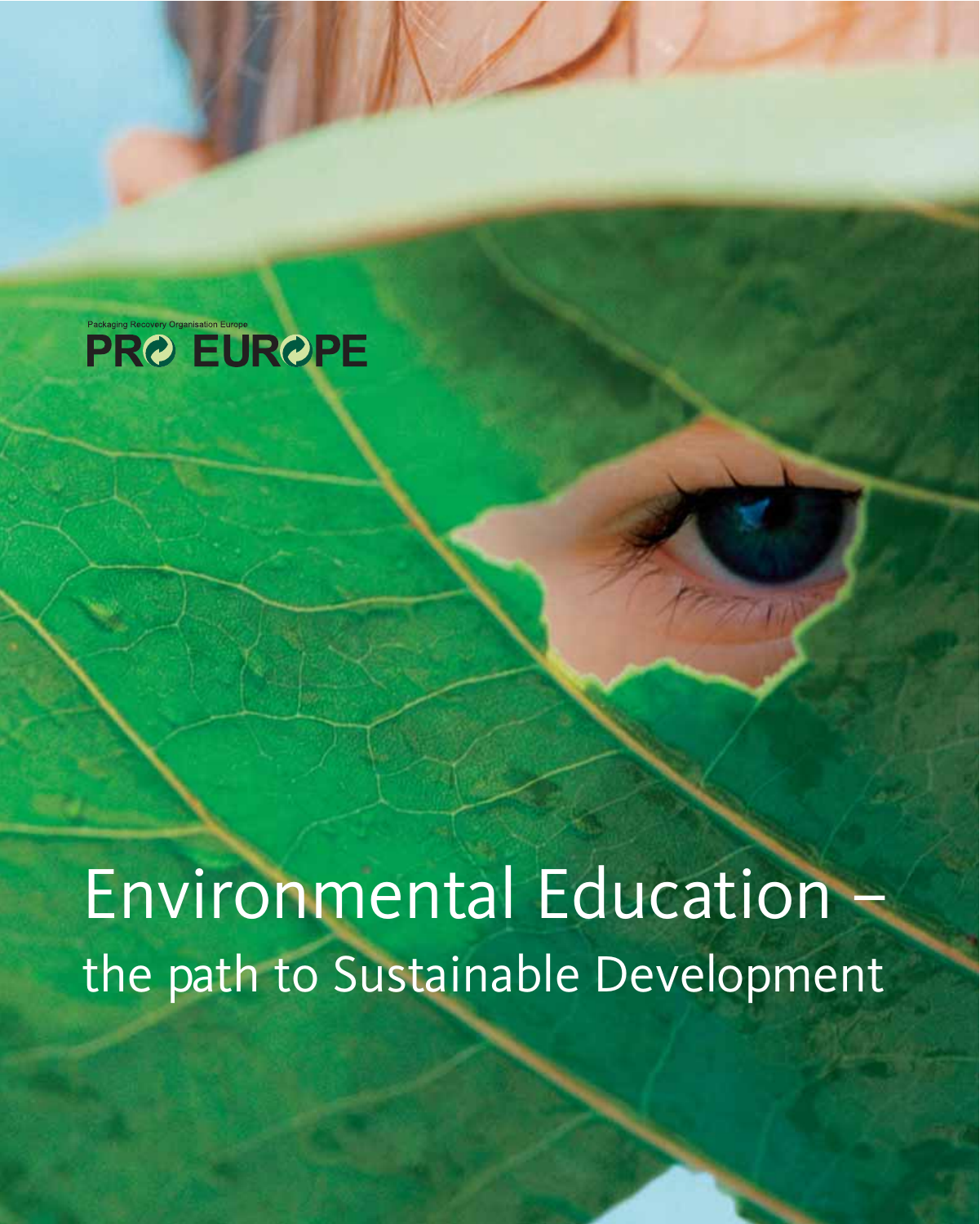

Environmental Education – the path to Sustainable Development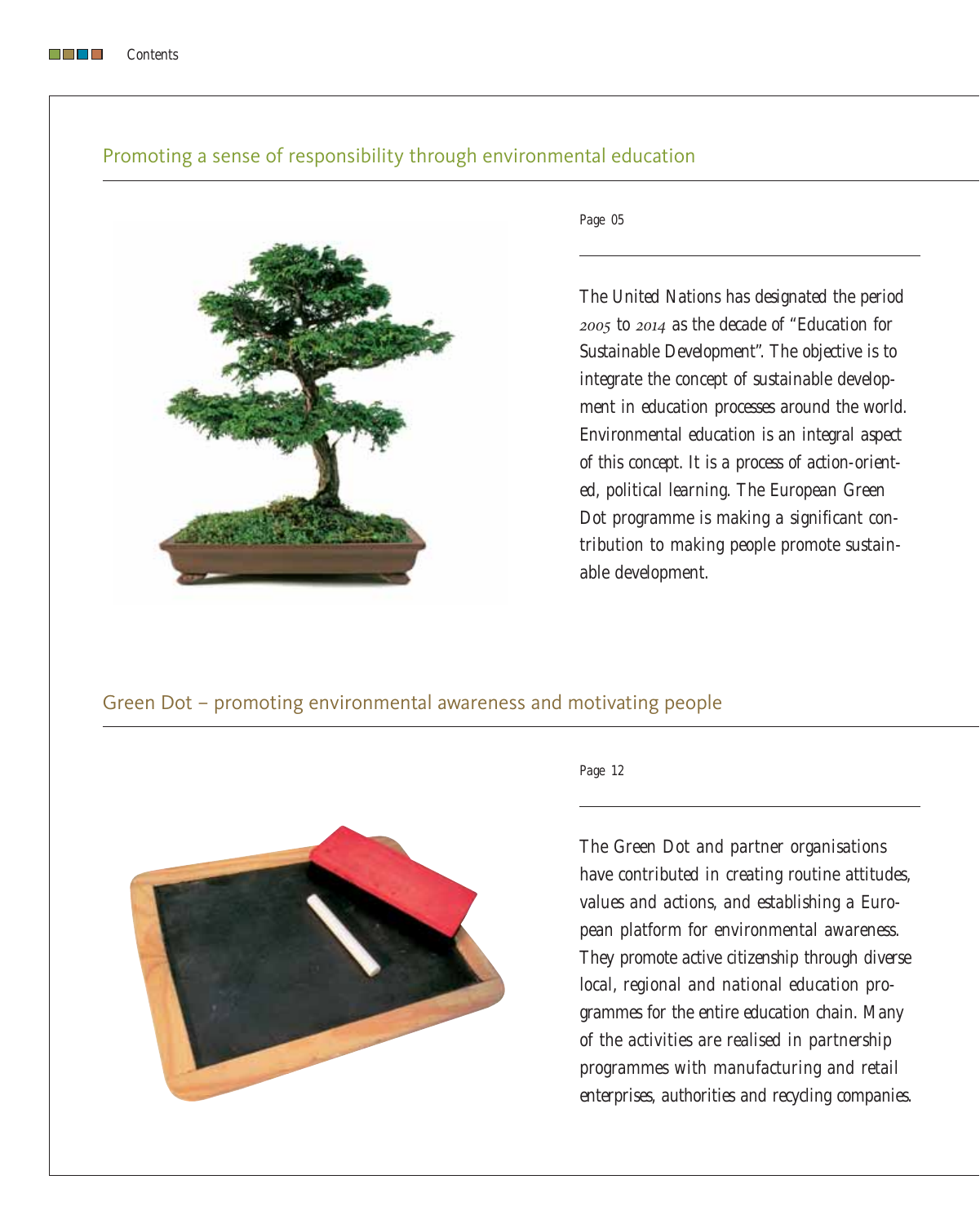#### *Contents*

# Promoting a sense of responsibility through environmental education



*Page 05*

*The United Nations has designated the period 2005 to 2014 as the decade of "Education for Sustainable Development". The objective is to integrate the concept of sustainable development in education processes around the world. Environmental education is an integral aspect of this concept. It is a process of action-oriented, political learning. The European Green Dot programme is making a significant contribution to making people promote sustainable development.*

# Green Dot – promoting environmental awareness and motivating people



### *Page 12*

*The Green Dot and partner organisations have contributed in creating routine attitudes, values and actions, and establishing a European platform for environmental awareness. They promote active citizenship through diverse local, regional and national education programmes for the entire education chain. Many of the activities are realised in partnership programmes with manufacturing and retail enterprises, authorities and recycling companies.*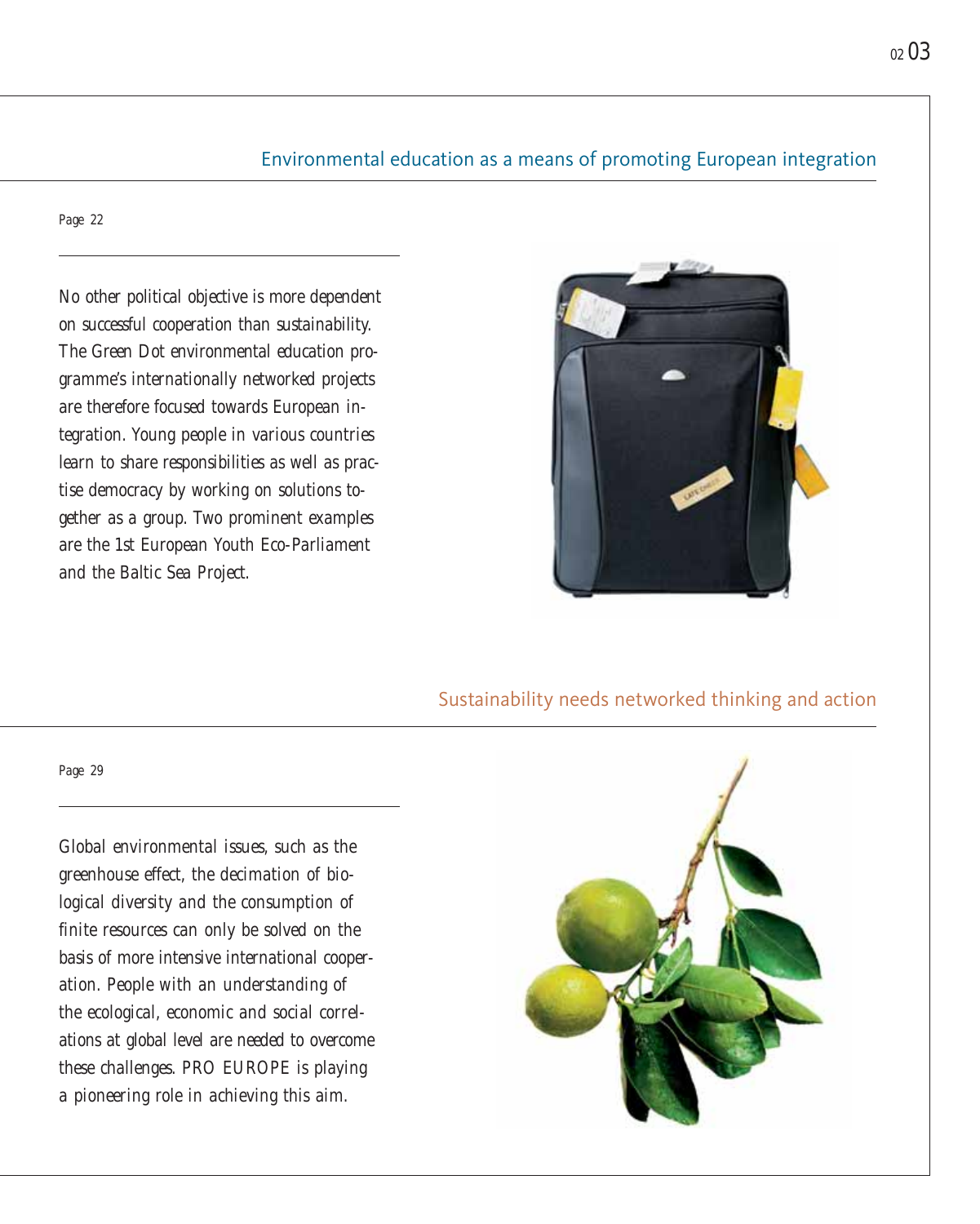# Environmental education as a means of promoting European integration

*Page 22*

*Page 29*

*No other political objective is more dependent on successful cooperation than sustainability. The Green Dot environmental education programme's internationally networked projects are therefore focused towards European integration. Young people in various countries learn to share responsibilities as well as practise democracy by working on solutions together as a group. Two prominent examples are the 1st European Youth Eco-Parliament and the Baltic Sea Project.*



# Sustainability needs networked thinking and action



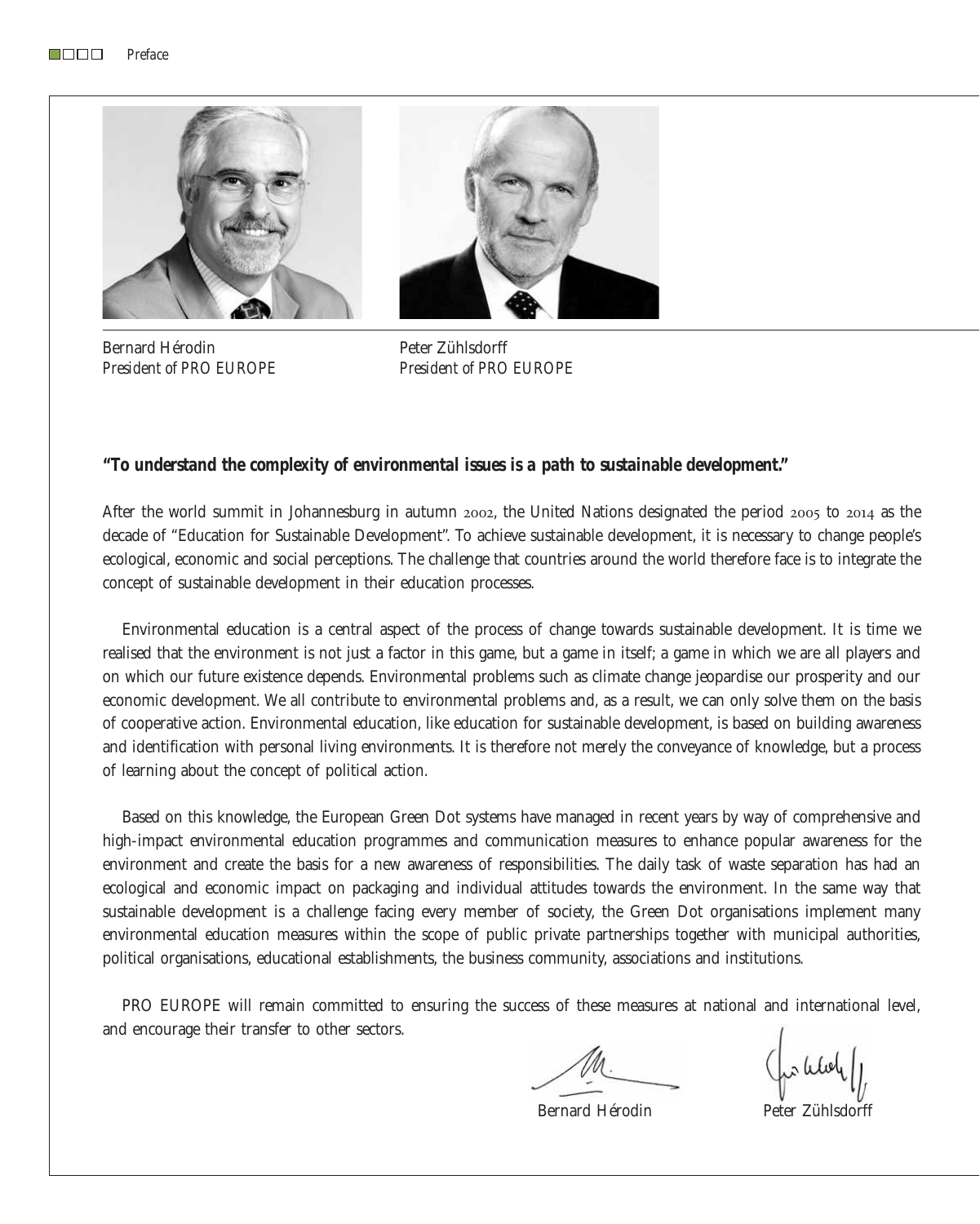

Bernard Hérodin *President of PRO EUROPE*

Peter Zühlsdorff *President of PRO EUROPE*

## *"To understand the complexity of environmental issues is a path to sustainable development."*

After the world summit in Johannesburg in autumn 2002, the United Nations designated the period 2005 to 2014 as the decade of "Education for Sustainable Development". To achieve sustainable development, it is necessary to change people's ecological, economic and social perceptions. The challenge that countries around the world therefore face is to integrate the concept of sustainable development in their education processes.

Environmental education is a central aspect of the process of change towards sustainable development. It is time we realised that the environment is not just a factor in this game, but a game in itself; a game in which we are all players and on which our future existence depends. Environmental problems such as climate change jeopardise our prosperity and our economic development. We all contribute to environmental problems and, as a result, we can only solve them on the basis of cooperative action. Environmental education, like education for sustainable development, is based on building awareness and identification with personal living environments. It is therefore not merely the conveyance of knowledge, but a process of learning about the concept of political action.

Based on this knowledge, the European Green Dot systems have managed in recent years by way of comprehensive and high-impact environmental education programmes and communication measures to enhance popular awareness for the environment and create the basis for a new awareness of responsibilities. The daily task of waste separation has had an ecological and economic impact on packaging and individual attitudes towards the environment. In the same way that sustainable development is a challenge facing every member of society, the Green Dot organisations implement many environmental education measures within the scope of public private partnerships together with municipal authorities, political organisations, educational establishments, the business community, associations and institutions.

PRO EUROPE will remain committed to ensuring the success of these measures at national and international level, and encourage their transfer to other sectors.

Bernard Hérodin Peter Zühlsdorff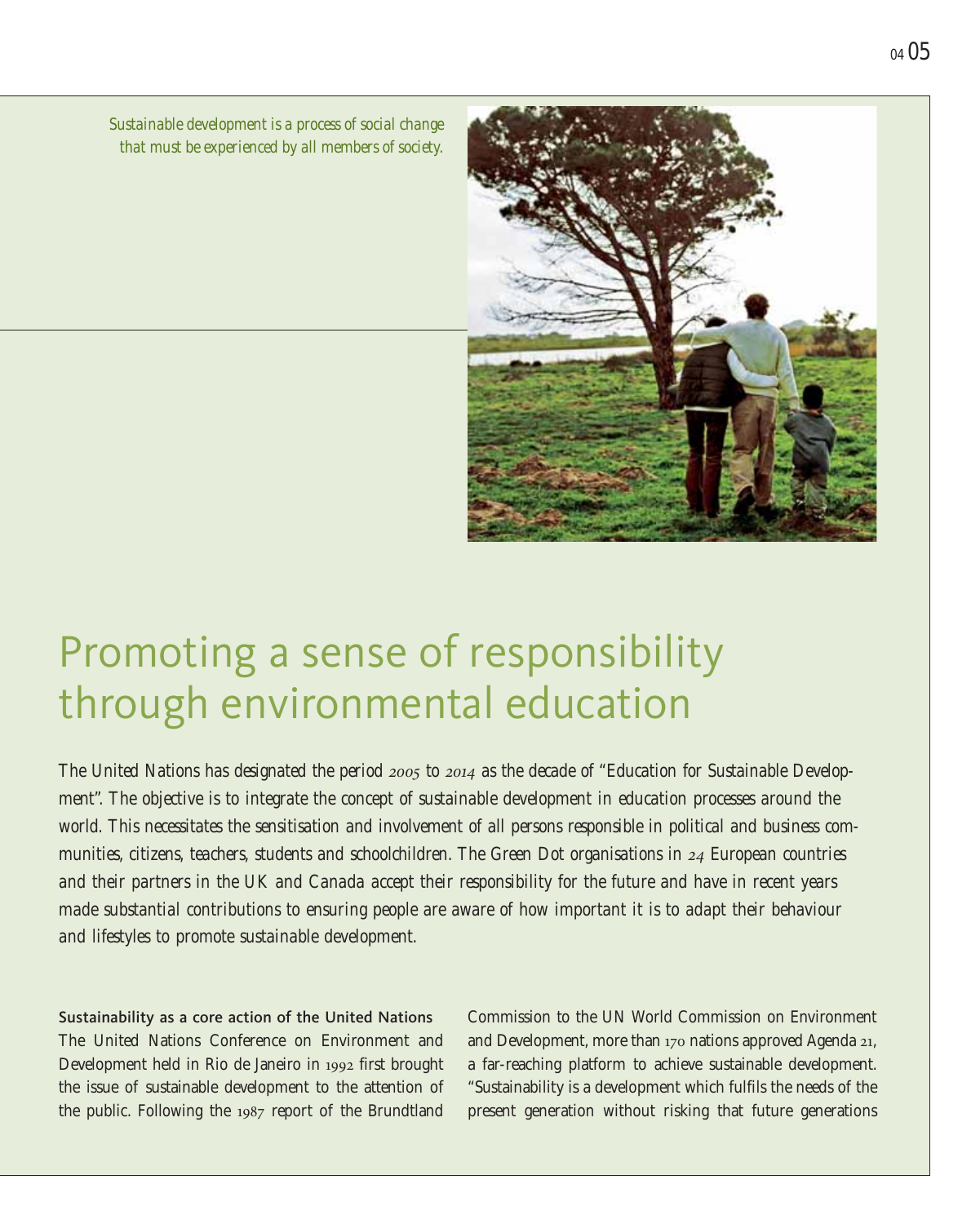*Sustainable development is a process of social change that must be experienced by all members of society.*



# Promoting a sense of responsibility through environmental education

*The United Nations has designated the period 2005 to 2014 as the decade of "Education for Sustainable Development". The objective is to integrate the concept of sustainable development in education processes around the world. This necessitates the sensitisation and involvement of all persons responsible in political and business communities, citizens, teachers, students and schoolchildren. The Green Dot organisations in 24 European countries and their partners in the UK and Canada accept their responsibility for the future and have in recent years made substantial contributions to ensuring people are aware of how important it is to adapt their behaviour and lifestyles to promote sustainable development.*

Sustainability as a core action of the United Nations The United Nations Conference on Environment and Development held in Rio de Janeiro in 1992 first brought the issue of sustainable development to the attention of the public. Following the 1987 report of the Brundtland

Commission to the UN World Commission on Environment and Development, more than 170 nations approved Agenda 21, a far-reaching platform to achieve sustainable development. "Sustainability is a development which fulfils the needs of the present generation without risking that future generations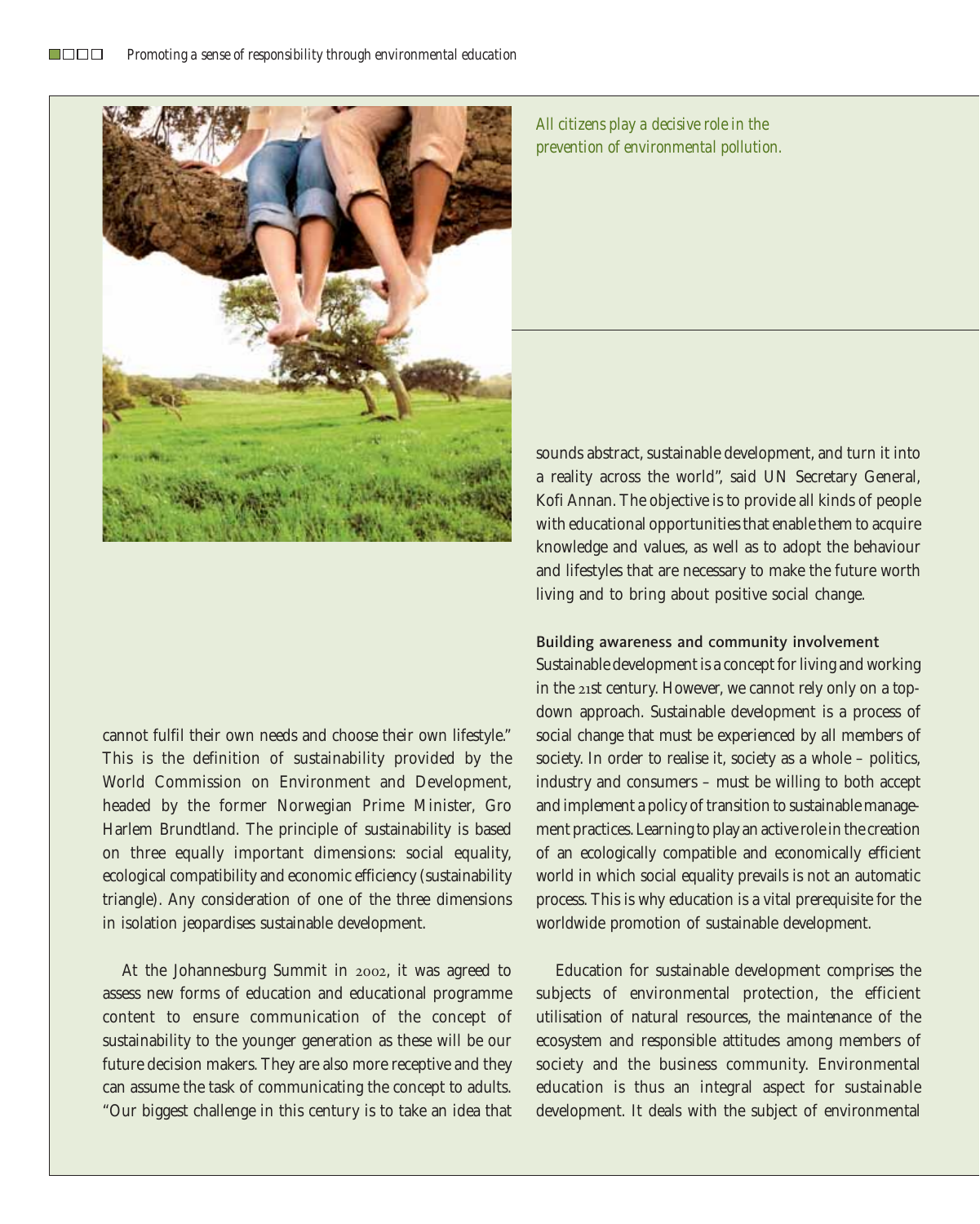

cannot fulfil their own needs and choose their own lifestyle." This is the definition of sustainability provided by the World Commission on Environment and Development, headed by the former Norwegian Prime Minister, Gro Harlem Brundtland. The principle of sustainability is based on three equally important dimensions: social equality, ecological compatibility and economic efficiency (sustainability triangle). Any consideration of one of the three dimensions in isolation jeopardises sustainable development.

At the Johannesburg Summit in 2002, it was agreed to assess new forms of education and educational programme content to ensure communication of the concept of sustainability to the younger generation as these will be our future decision makers. They are also more receptive and they can assume the task of communicating the concept to adults. "Our biggest challenge in this century is to take an idea that

*All citizens play a decisive role in the prevention of environmental pollution.*

sounds abstract, sustainable development, and turn it into a reality across the world", said UN Secretary General, Kofi Annan. The objective is to provide all kinds of people with educational opportunities that enable them to acquire knowledge and values, as well as to adopt the behaviour and lifestyles that are necessary to make the future worth living and to bring about positive social change.

## Building awareness and community involvement

Sustainable development is a concept for living and working in the 21st century. However, we cannot rely only on a topdown approach. Sustainable development is a process of social change that must be experienced by all members of society. In order to realise it, society as a whole – politics, industry and consumers – must be willing to both accept and implement a policy of transition to sustainable management practices. Learning to play an active role in the creation of an ecologically compatible and economically efficient world in which social equality prevails is not an automatic process. This is why education is a vital prerequisite for the worldwide promotion of sustainable development.

Education for sustainable development comprises the subjects of environmental protection, the efficient utilisation of natural resources, the maintenance of the ecosystem and responsible attitudes among members of society and the business community. Environmental education is thus an integral aspect for sustainable development. It deals with the subject of environmental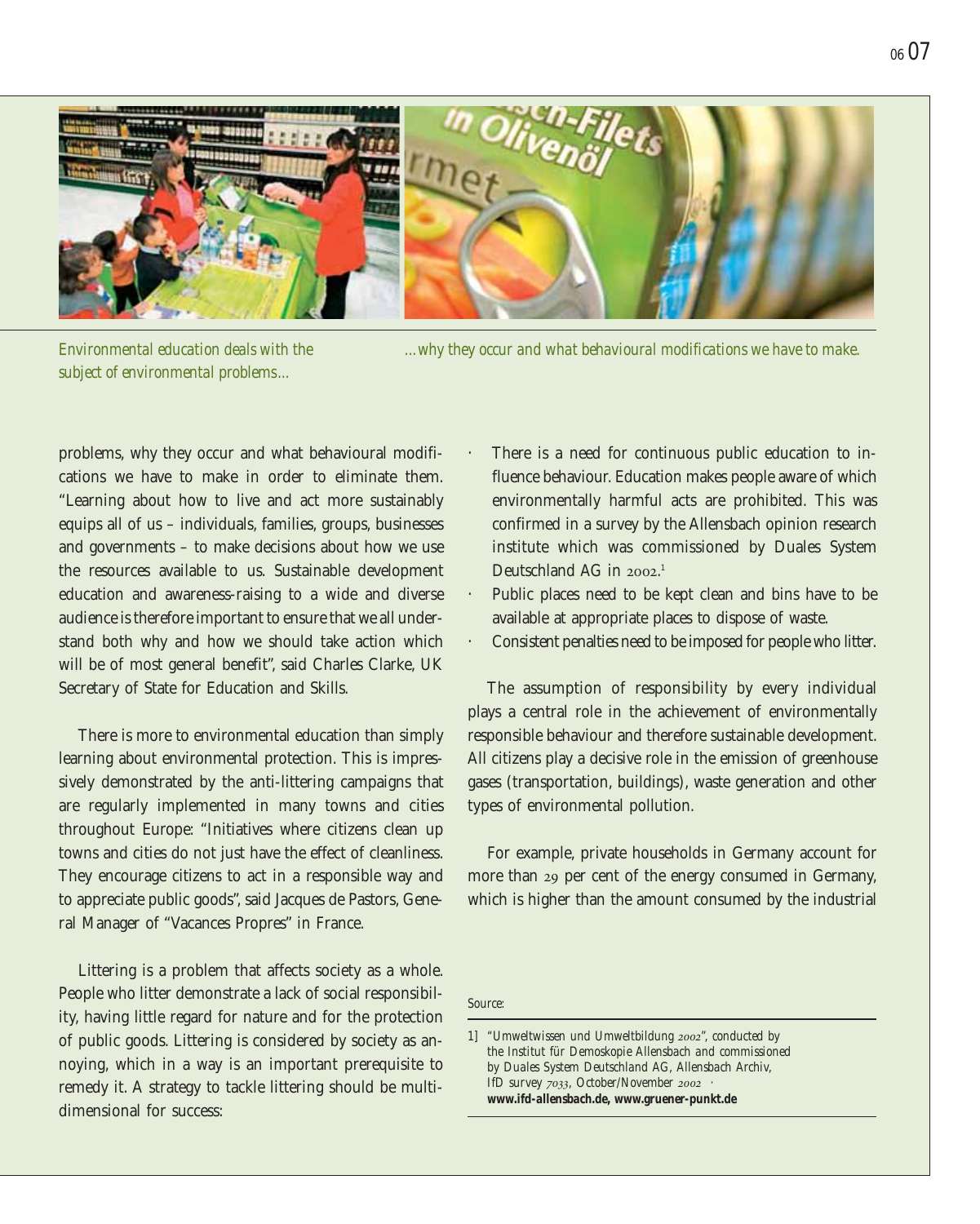

*Environmental education deals with the subject of environmental problems...*

*...why they occur and what behavioural modifications we have to make.*

problems, why they occur and what behavioural modifications we have to make in order to eliminate them. "Learning about how to live and act more sustainably equips all of us – individuals, families, groups, businesses and governments – to make decisions about how we use the resources available to us. Sustainable development education and awareness-raising to a wide and diverse audience is therefore important to ensure that we all understand both why and how we should take action which will be of most general benefit", said Charles Clarke, UK Secretary of State for Education and Skills.

There is more to environmental education than simply learning about environmental protection. This is impressively demonstrated by the anti-littering campaigns that are regularly implemented in many towns and cities throughout Europe: "Initiatives where citizens clean up towns and cities do not just have the effect of cleanliness. They encourage citizens to act in a responsible way and to appreciate public goods", said Jacques de Pastors, General Manager of "Vacances Propres" in France.

Littering is a problem that affects society as a whole. People who litter demonstrate a lack of social responsibility, having little regard for nature and for the protection of public goods. Littering is considered by society as annoying, which in a way is an important prerequisite to remedy it. A strategy to tackle littering should be multidimensional for success:

- There is a need for continuous public education to influence behaviour. Education makes people aware of which environmentally harmful acts are prohibited. This was confirmed in a survey by the Allensbach opinion research institute which was commissioned by Duales System Deutschland AG in 2002. 1
- Public places need to be kept clean and bins have to be available at appropriate places to dispose of waste.
- Consistent penalties need to be imposed for people who litter.

The assumption of responsibility by every individual plays a central role in the achievement of environmentally responsible behaviour and therefore sustainable development. All citizens play a decisive role in the emission of greenhouse gases (transportation, buildings), waste generation and other types of environmental pollution.

For example, private households in Germany account for more than 29 per cent of the energy consumed in Germany, which is higher than the amount consumed by the industrial

*Source:*

*1] "Umweltwissen und Umweltbildung 2002", conducted by the Institut für Demoskopie Allensbach and commissioned by Duales System Deutschland AG, Allensbach Archiv, IfD survey 7033, October/November 2002 · www.ifd-allensbach.de, www.gruener-punkt.de*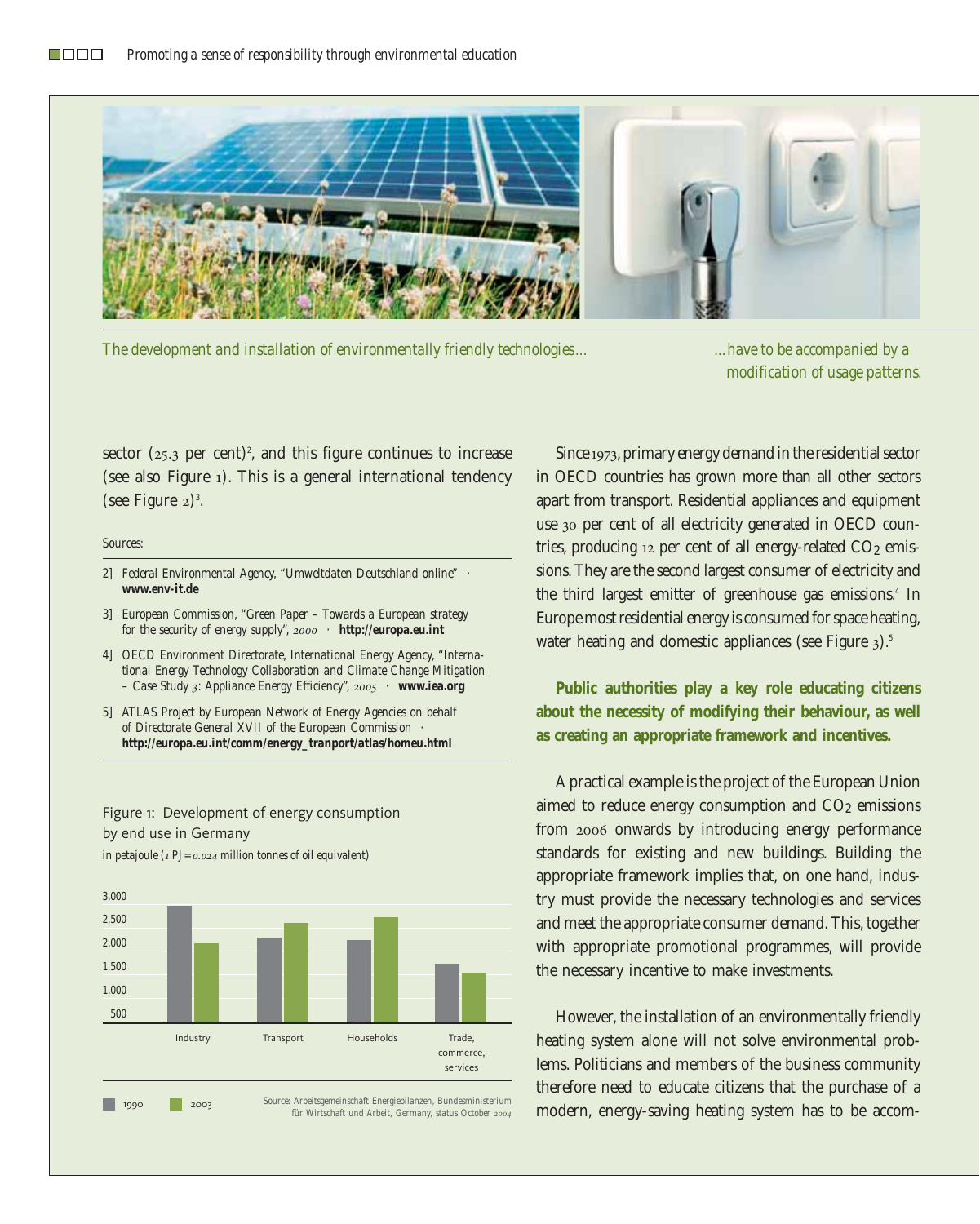

*The development and installation of environmentally friendly technologies... ...have to be accompanied by a* 

*modification of usage patterns.*

sector  $(25.3 \text{ per cent})^2$ , and this figure continues to increase (see also Figure 1). This is a general international tendency  $(see Figure 2)<sup>3</sup>.$ 

#### *Sources:*

*1,500 1,000 500*

- *2] Federal Environmental Agency, "Umweltdaten Deutschland online" · www.env-it.de*
- *3] European Commission, "Green Paper Towards a European strategy for the security of energy supply", 2000 · http://europa.eu.int*
- *4] OECD Environment Directorate, International Energy Agency, "International Energy Technology Collaboration and Climate Change Mitigation – Case Study 3: Appliance Energy Efficiency", 2005 · www.iea.org*
- *5] ATLAS Project by European Network of Energy Agencies on behalf of Directorate General XVII of the European Commission · http://europa.eu.int/comm/energy\_tranport/atlas/homeu.html*

## Figure 1: Development of energy consumption by end use in Germany *in petajoule (1 PJ=0.024 million tonnes of oil equivalent)*

*3,000 2,500 2,000* 

Industry Transport Households Trade, commerce, services

*Source: Arbeitsgemeinschaft Energiebilanzen, Bundesministerium für Wirtschaft und Arbeit, Germany, status October <sup>2004</sup>* <sup>1990</sup> <sup>2003</sup>

Since 1973, primary energy demand in the residential sector in OECD countries has grown more than all other sectors apart from transport. Residential appliances and equipment use 30 per cent of all electricity generated in OECD countries, producing 12 per cent of all energy-related CO<sub>2</sub> emissions. They are the second largest consumer of electricity and the third largest emitter of greenhouse gas emissions.<sup>4</sup> In Europe most residential energy is consumed for space heating, water heating and domestic appliances (see Figure 3).<sup>5</sup>

**Public authorities play a key role educating citizens about the necessity of modifying their behaviour, as well as creating an appropriate framework and incentives.**

A practical example is the project of the European Union aimed to reduce energy consumption and  $CO<sub>2</sub>$  emissions from 2006 onwards by introducing energy performance standards for existing and new buildings. Building the appropriate framework implies that, on one hand, industry must provide the necessary technologies and services and meet the appropriate consumer demand. This, together with appropriate promotional programmes, will provide the necessary incentive to make investments.

However, the installation of an environmentally friendly heating system alone will not solve environmental problems. Politicians and members of the business community therefore need to educate citizens that the purchase of a modern, energy-saving heating system has to be accom-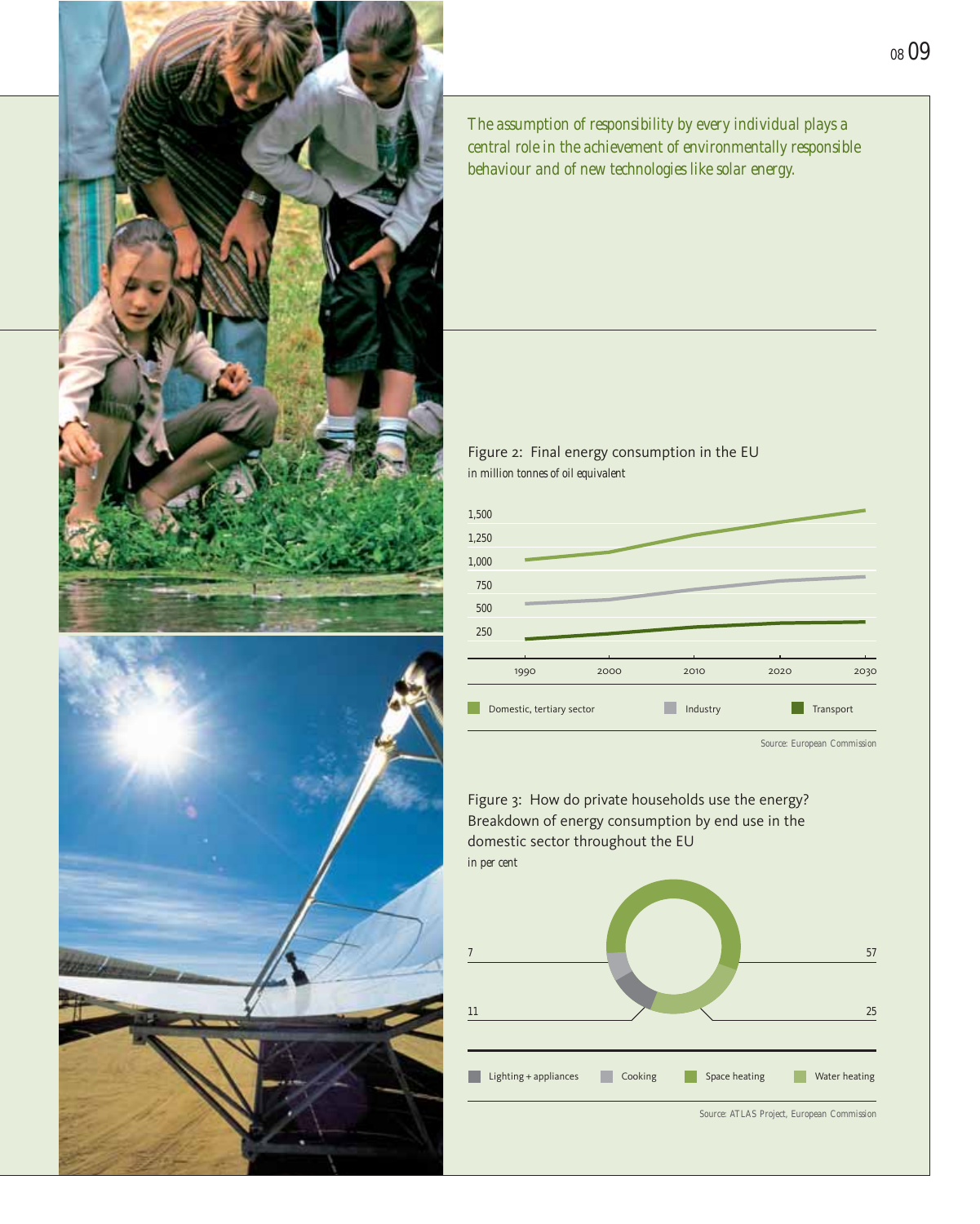

*The assumption of responsibility by every individual plays a central role in the achievement of environmentally responsible behaviour and of new technologies like solar energy.*





*Source: European Commission*

*<sup>08</sup> 09*

Figure 3: How do private households use the energy? Breakdown of energy consumption by end use in the domestic sector throughout the EU *in per cent*

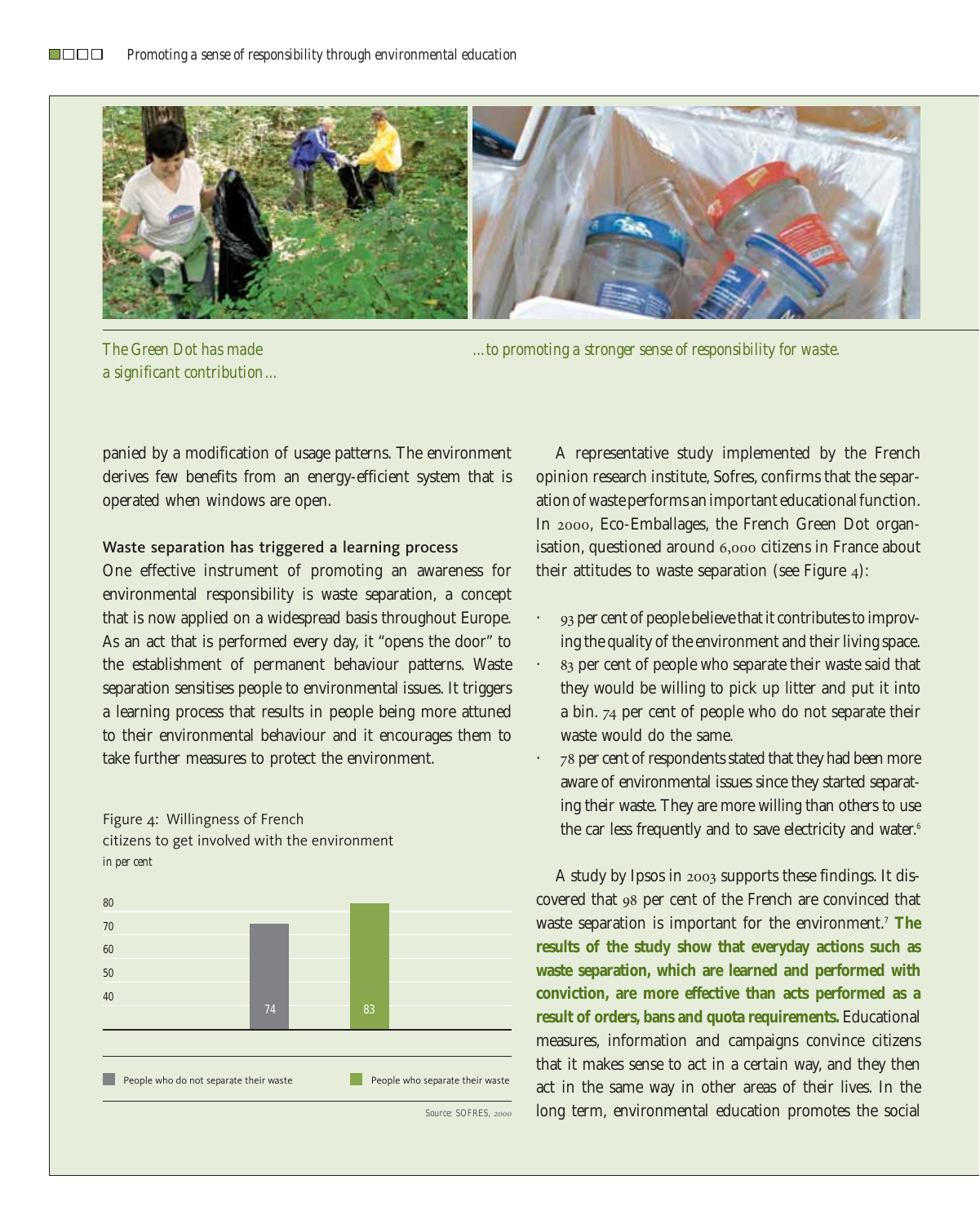

*The Green Dot has made a significant contribution...*

*...to promoting a stronger sense of responsibility for waste.*

panied by a modification of usage patterns. The environment derives few benefits from an energy-efficient system that is operated when windows are open.

### Waste separation has triggered a learning process

One effective instrument of promoting an awareness for environmental responsibility is waste separation, a concept that is now applied on a widespread basis throughout Europe. As an act that is performed every day, it "opens the door" to the establishment of permanent behaviour patterns. Waste separation sensitises people to environmental issues. It triggers a learning process that results in people being more attuned to their environmental behaviour and it encourages them to take further measures to protect the environment.





A representative study implemented by the French opinion research institute, Sofres, confirms that the separation of waste performs an important educational function. In 2000, Eco-Emballages, the French Green Dot organisation, questioned around 6,000 citizens in France about their attitudes to waste separation (see Figure 4):

- · 93 per cent of people believe that it contributes to improving the quality of the environment and their living space.
- · 83 per cent of people who separate their waste said that they would be willing to pick up litter and put it into a bin. 74 per cent of people who do not separate their waste would do the same.
- · 78 per cent of respondents stated that they had been more aware of environmental issues since they started separating their waste. They are more willing than others to use the car less frequently and to save electricity and water.<sup>6</sup>

A study by Ipsos in 2003 supports these findings. It discovered that 98 per cent of the French are convinced that waste separation is important for the environment.7 **The results of the study show that everyday actions such as waste separation, which are learned and performed with conviction, are more effective than acts performed as a result of orders, bans and quota requirements.** Educational measures, information and campaigns convince citizens that it makes sense to act in a certain way, and they then act in the same way in other areas of their lives. In the long term, environmental education promotes the social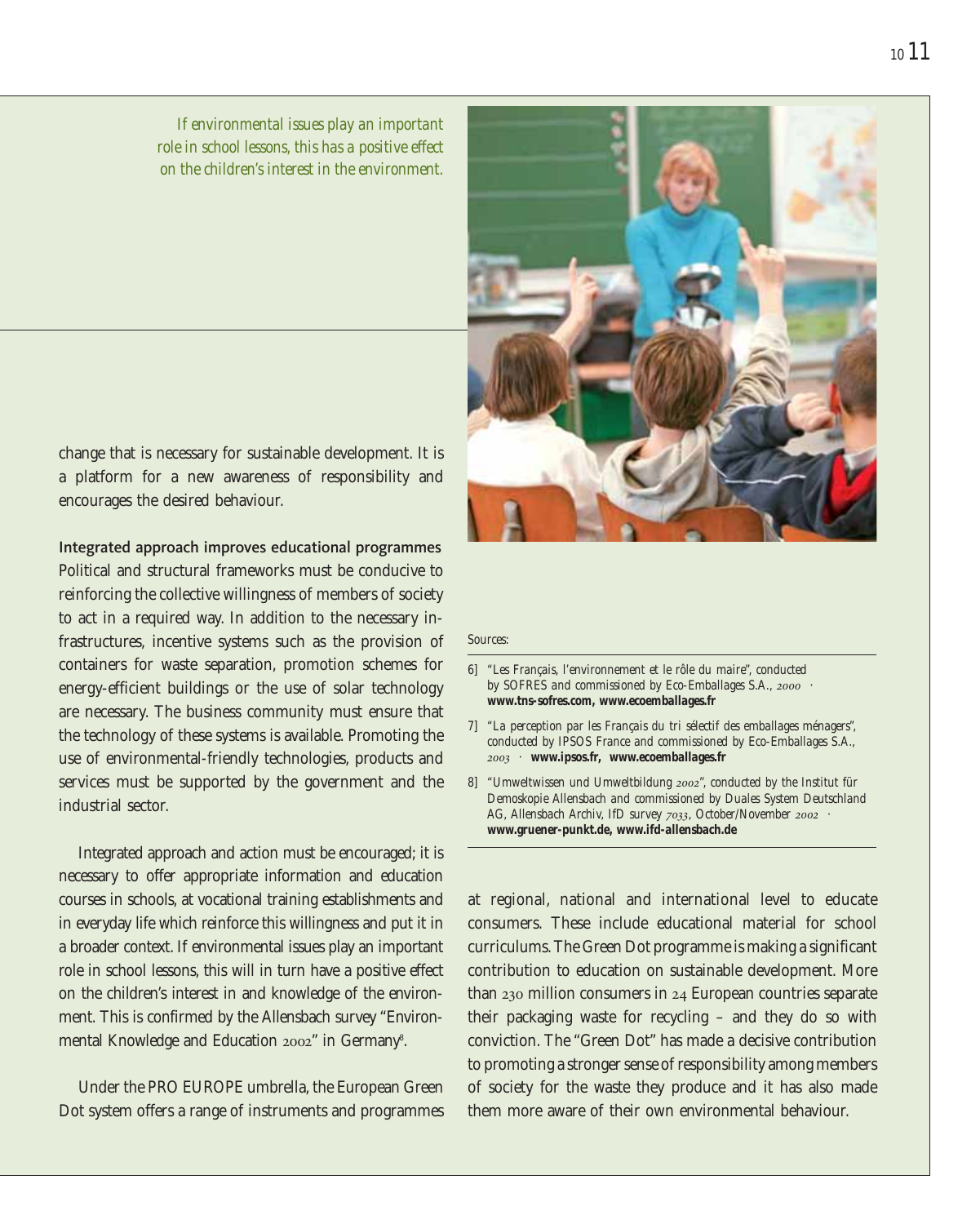*If environmental issues play an important role in school lessons, this has a positive effect on the children's interest in the environment.*

change that is necessary for sustainable development. It is a platform for a new awareness of responsibility and encourages the desired behaviour.

Integrated approach improves educational programmes Political and structural frameworks must be conducive to reinforcing the collective willingness of members of society to act in a required way. In addition to the necessary infrastructures, incentive systems such as the provision of containers for waste separation, promotion schemes for energy-efficient buildings or the use of solar technology are necessary. The business community must ensure that the technology of these systems is available. Promoting the use of environmental-friendly technologies, products and services must be supported by the government and the industrial sector.

Integrated approach and action must be encouraged; it is necessary to offer appropriate information and education courses in schools, at vocational training establishments and in everyday life which reinforce this willingness and put it in a broader context. If environmental issues play an important role in school lessons, this will in turn have a positive effect on the children's interest in and knowledge of the environment. This is confirmed by the Allensbach survey "Environmental Knowledge and Education 2002" in Germany<sup>8</sup>.

Under the PRO EUROPE umbrella, the European Green Dot system offers a range of instruments and programmes

#### *Sources:*

- *6] "Les Français, l'environnement et le rôle du maire", conducted by SOFRES and commissioned by Eco-Emballages S.A., 2000 · www.tns-sofres.com, www.ecoemballages.fr*
- *7] "La perception par les Français du tri sélectif des emballages ménagers", conducted by IPSOS France and commissioned by Eco-Emballages S.A., 2003 · www.ipsos.fr, www.ecoemballages.fr*
- *8] "Umweltwissen und Umweltbildung 2002", conducted by the Institut für Demoskopie Allensbach and commissioned by Duales System Deutschland AG, Allensbach Archiv, IfD survey 7033, October/November 2002 · www.gruener-punkt.de, www.ifd-allensbach.de*

at regional, national and international level to educate consumers. These include educational material for school curriculums. The Green Dot programme is making a significant contribution to education on sustainable development. More than 230 million consumers in 24 European countries separate their packaging waste for recycling – and they do so with conviction. The "Green Dot" has made a decisive contribution to promoting a stronger sense of responsibility among members of society for the waste they produce and it has also made them more aware of their own environmental behaviour.

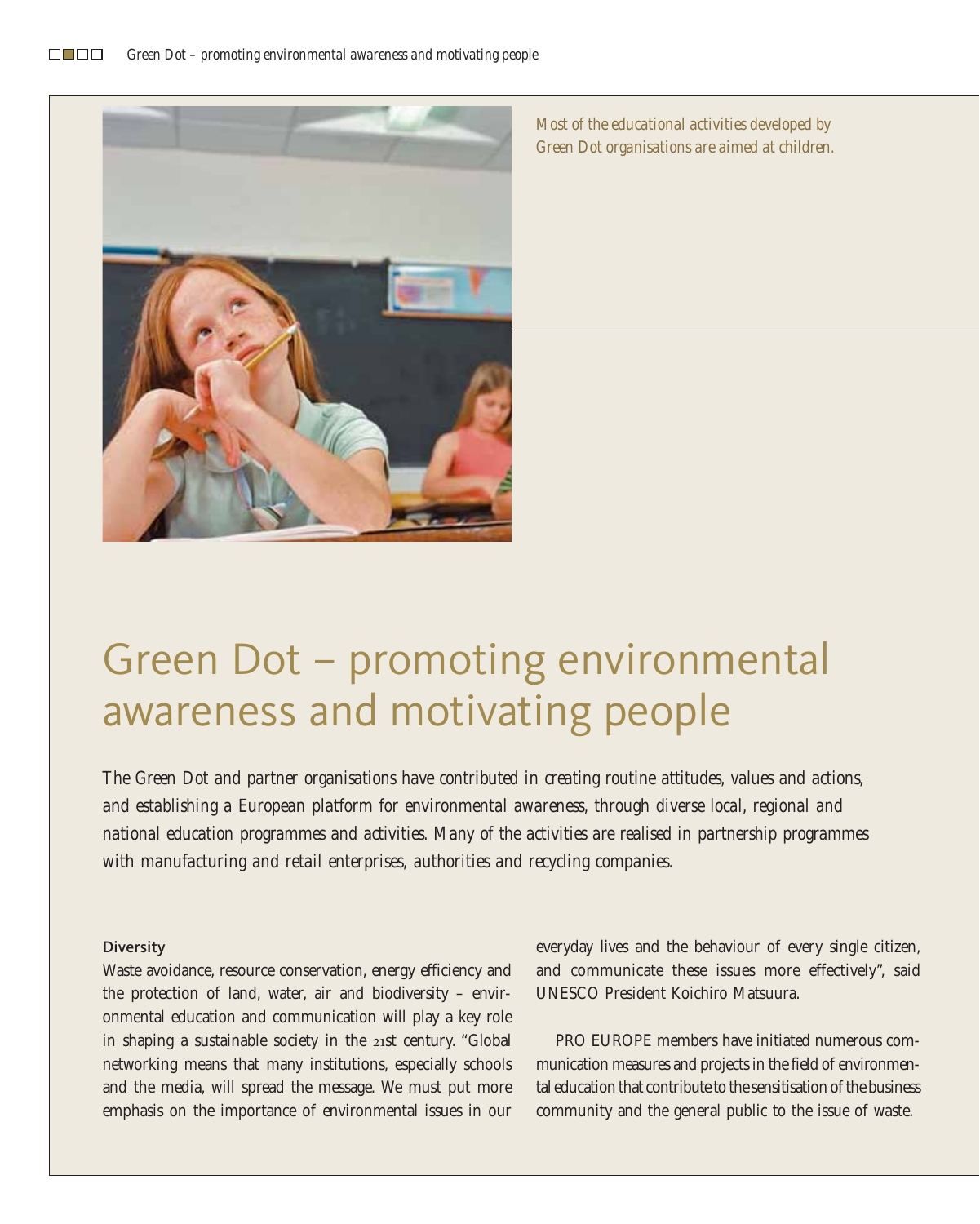

*Most of the educational activities developed by Green Dot organisations are aimed at children.*

# Green Dot – promoting environmental awareness and motivating people

*The Green Dot and partner organisations have contributed in creating routine attitudes, values and actions, and establishing a European platform for environmental awareness, through diverse local, regional and national education programmes and activities. Many of the activities are realised in partnership programmes with manufacturing and retail enterprises, authorities and recycling companies.*

#### **Diversity**

Waste avoidance, resource conservation, energy efficiency and the protection of land, water, air and biodiversity – environmental education and communication will play a key role in shaping a sustainable society in the 21st century. "Global networking means that many institutions, especially schools and the media, will spread the message. We must put more emphasis on the importance of environmental issues in our everyday lives and the behaviour of every single citizen, and communicate these issues more effectively", said UNESCO President Koichiro Matsuura.

PRO EUROPE members have initiated numerous communication measures and projects in the field of environmental education that contribute to the sensitisation of the business community and the general public to the issue of waste.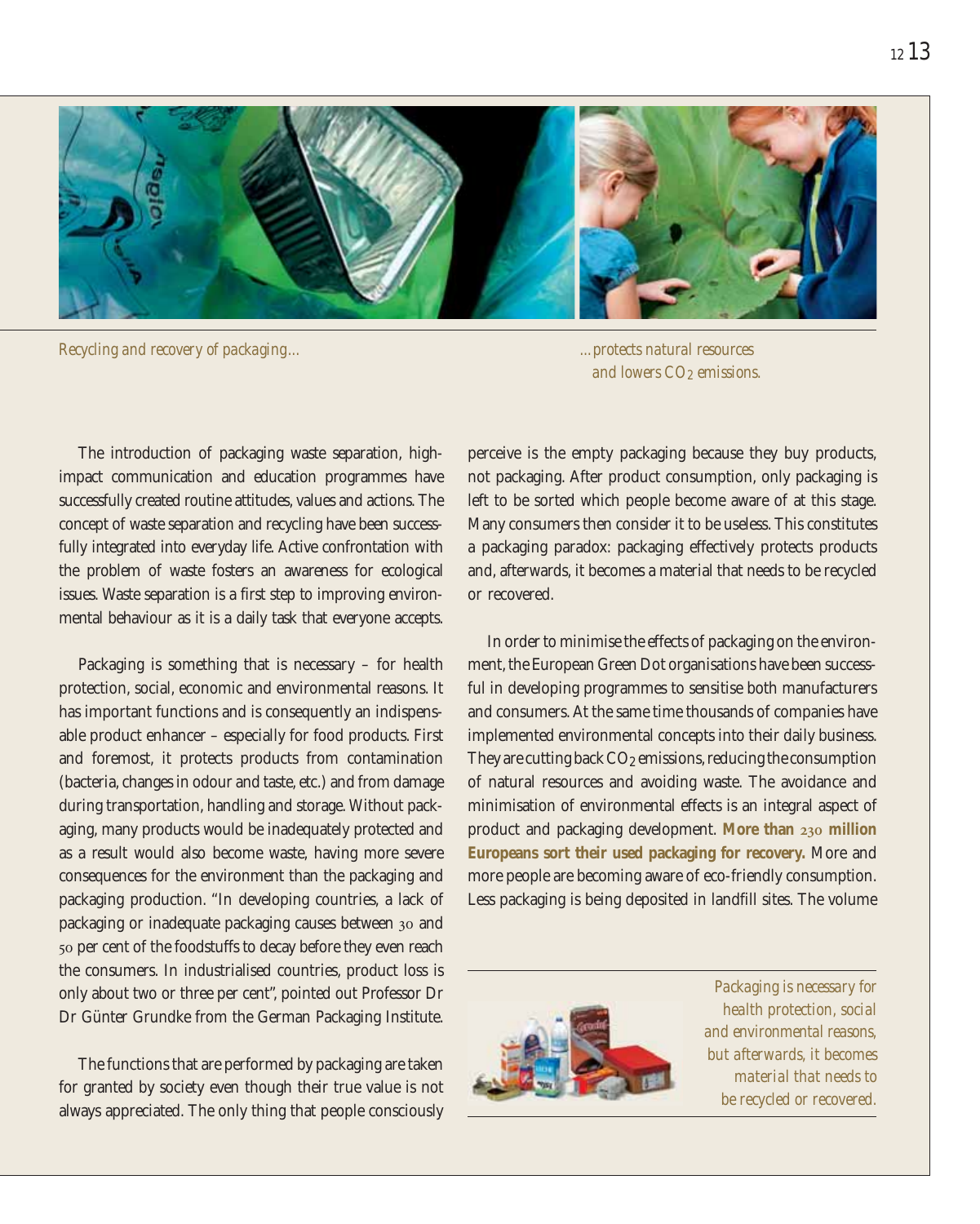

*Recycling and recovery of packaging... ...protects natural resources* 

*and lowers CO2 emissions.*

The introduction of packaging waste separation, highimpact communication and education programmes have successfully created routine attitudes, values and actions. The concept of waste separation and recycling have been successfully integrated into everyday life. Active confrontation with the problem of waste fosters an awareness for ecological issues. Waste separation is a first step to improving environmental behaviour as it is a daily task that everyone accepts.

Packaging is something that is necessary – for health protection, social, economic and environmental reasons. It has important functions and is consequently an indispensable product enhancer – especially for food products. First and foremost, it protects products from contamination (bacteria, changes in odour and taste, etc.) and from damage during transportation, handling and storage. Without packaging, many products would be inadequately protected and as a result would also become waste, having more severe consequences for the environment than the packaging and packaging production. "In developing countries, a lack of packaging or inadequate packaging causes between 30 and 50 per cent of the foodstuffs to decay before they even reach the consumers. In industrialised countries, product loss is only about two or three per cent", pointed out Professor Dr Dr Günter Grundke from the German Packaging Institute.

The functions that are performed by packaging are taken for granted by society even though their true value is not always appreciated. The only thing that people consciously perceive is the empty packaging because they buy products, not packaging. After product consumption, only packaging is left to be sorted which people become aware of at this stage. Many consumers then consider it to be useless. This constitutes a packaging paradox: packaging effectively protects products and, afterwards, it becomes a material that needs to be recycled or recovered.

In order to minimise the effects of packaging on the environment, the European Green Dot organisations have been successful in developing programmes to sensitise both manufacturers and consumers. At the same time thousands of companies have implemented environmental concepts into their daily business. They are cutting back CO<sub>2</sub> emissions, reducing the consumption of natural resources and avoiding waste. The avoidance and minimisation of environmental effects is an integral aspect of product and packaging development. **More than 230 million Europeans sort their used packaging for recovery.** More and more people are becoming aware of eco-friendly consumption. Less packaging is being deposited in landfill sites. The volume



*Packaging is necessary for health protection, social and environmental reasons, but afterwards, it becomes material that needs to be recycled or recovered.*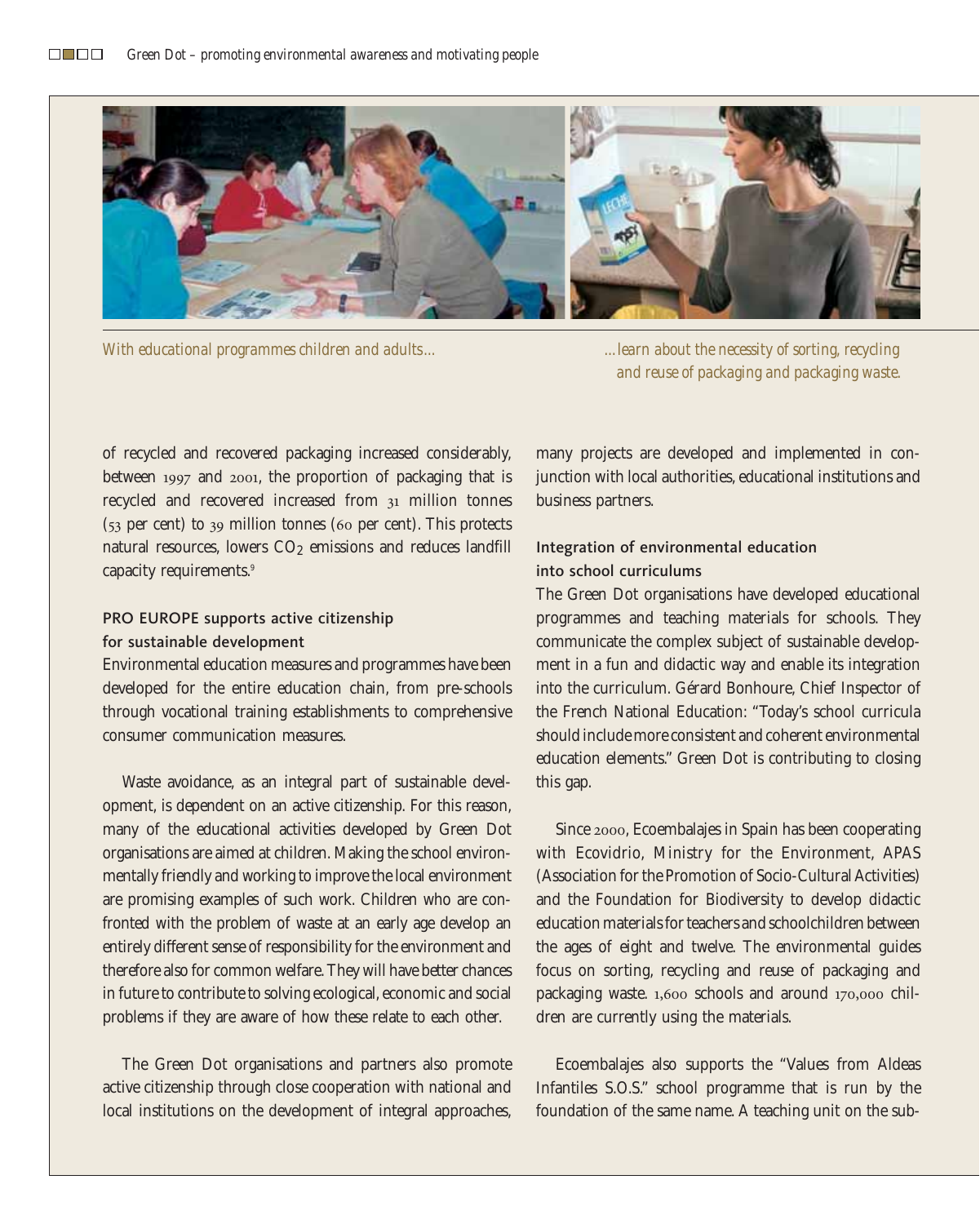

*With educational programmes children and adults... ...learn about the necessity of sorting, recycling* 

*and reuse of packaging and packaging waste.*

of recycled and recovered packaging increased considerably, between 1997 and 2001, the proportion of packaging that is recycled and recovered increased from 31 million tonnes (53 per cent) to 39 million tonnes (60 per cent). This protects natural resources, lowers CO<sub>2</sub> emissions and reduces landfill capacity requirements.9

## PRO EUROPE supports active citizenship for sustainable development

Environmental education measures and programmes have been developed for the entire education chain, from pre-schools through vocational training establishments to comprehensive consumer communication measures.

Waste avoidance, as an integral part of sustainable development, is dependent on an active citizenship. For this reason, many of the educational activities developed by Green Dot organisations are aimed at children. Making the school environmentally friendly and working to improve the local environment are promising examples of such work. Children who are confronted with the problem of waste at an early age develop an entirely different sense of responsibility for the environment and therefore also for common welfare. They will have better chances in future to contribute to solving ecological, economic and social problems if they are aware of how these relate to each other.

The Green Dot organisations and partners also promote active citizenship through close cooperation with national and local institutions on the development of integral approaches, many projects are developed and implemented in conjunction with local authorities, educational institutions and business partners.

# Integration of environmental education into school curriculums

The Green Dot organisations have developed educational programmes and teaching materials for schools. They communicate the complex subject of sustainable development in a fun and didactic way and enable its integration into the curriculum. Gérard Bonhoure, Chief Inspector of the French National Education: "Today's school curricula should include more consistent and coherent environmental education elements." Green Dot is contributing to closing this gap.

Since 2000, Ecoembalajes in Spain has been cooperating with Ecovidrio, Ministry for the Environment, APAS (Association for the Promotion of Socio-Cultural Activities) and the Foundation for Biodiversity to develop didactic education materials for teachers and schoolchildren between the ages of eight and twelve. The environmental guides focus on sorting, recycling and reuse of packaging and packaging waste. 1,600 schools and around 170,000 children are currently using the materials.

Ecoembalajes also supports the "Values from Aldeas Infantiles S.O.S." school programme that is run by the foundation of the same name. A teaching unit on the sub-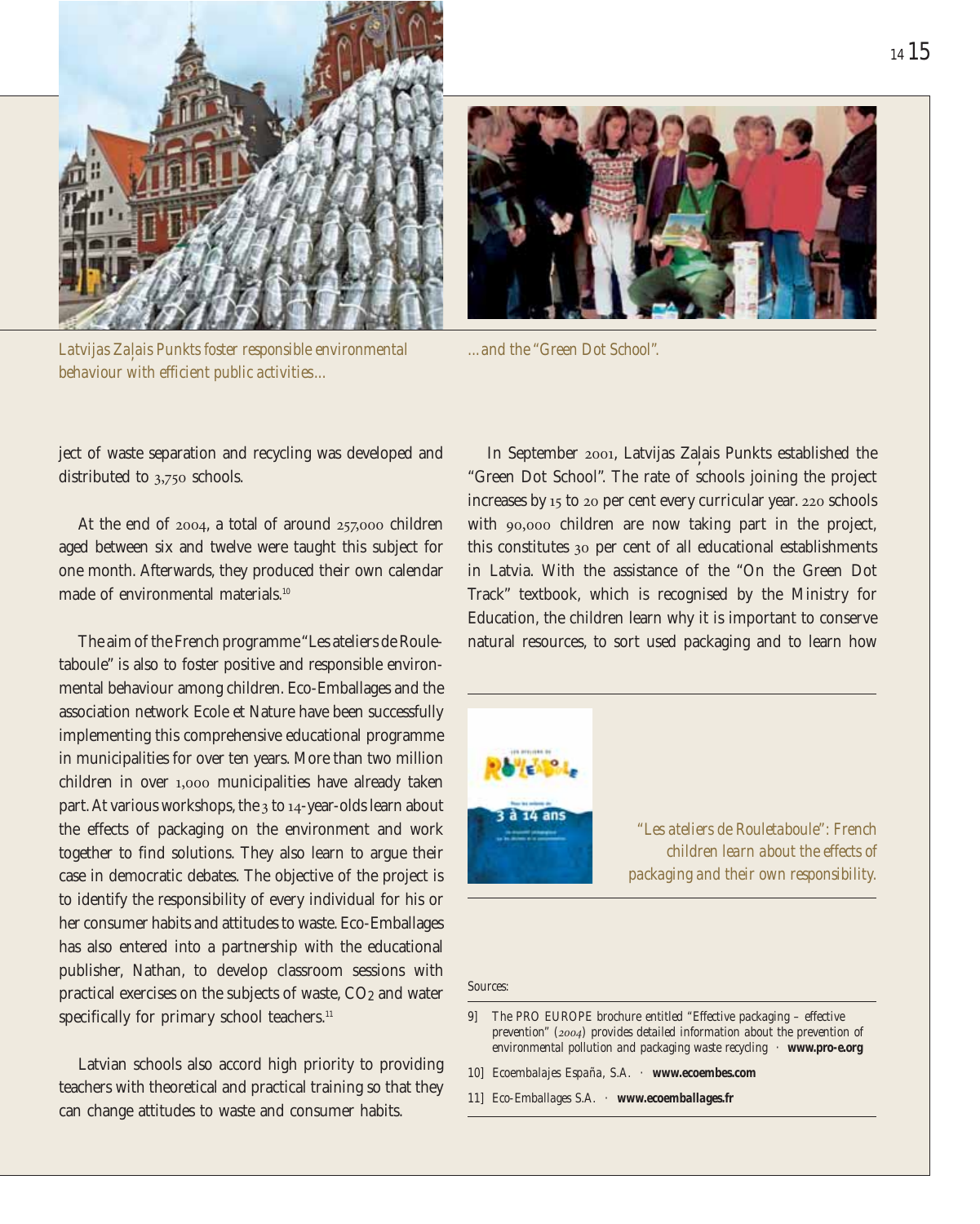

*Latvijas Za, lais Punkts foster responsible environmental behaviour with efficient public activities...*



*...and the "Green Dot School".*

ject of waste separation and recycling was developed and distributed to 3,750 schools.

At the end of 2004, a total of around 257,000 children aged between six and twelve were taught this subject for one month. Afterwards, they produced their own calendar made of environmental materials.<sup>10</sup>

The aim of the French programme "Les ateliers de Rouletaboule" is also to foster positive and responsible environmental behaviour among children. Eco-Emballages and the association network Ecole et Nature have been successfully implementing this comprehensive educational programme in municipalities for over ten years. More than two million children in over 1,000 municipalities have already taken part. At various workshops, the 3 to 14-year-olds learn about the effects of packaging on the environment and work together to find solutions. They also learn to argue their case in democratic debates. The objective of the project is to identify the responsibility of every individual for his or her consumer habits and attitudes to waste. Eco-Emballages has also entered into a partnership with the educational publisher, Nathan, to develop classroom sessions with practical exercises on the subjects of waste,  $CO<sub>2</sub>$  and water specifically for primary school teachers.<sup>11</sup>

Latvian schools also accord high priority to providing teachers with theoretical and practical training so that they can change attitudes to waste and consumer habits.

In September 2001, Latvijas Zaļais Punkts established the "Green Dot School". The rate of schools joining the project increases by 15 to 20 per cent every curricular year. 220 schools with 90,000 children are now taking part in the project, this constitutes 30 per cent of all educational establishments in Latvia. With the assistance of the "On the Green Dot Track" textbook, which is recognised by the Ministry for Education, the children learn why it is important to conserve natural resources, to sort used packaging and to learn how



*"Les ateliers de Rouletaboule": French children learn about the effects of packaging and their own responsibility.*

*Sources:*

*<sup>9]</sup> The PRO EUROPE brochure entitled "Effective packaging – effective prevention" (2004) provides detailed information about the prevention of environmental pollution and packaging waste recycling · www.pro-e.org*

*<sup>10]</sup> Ecoembalajes España, S.A. · www.ecoembes.com*

*<sup>11]</sup> Eco-Emballages S.A. · www.ecoemballages.fr*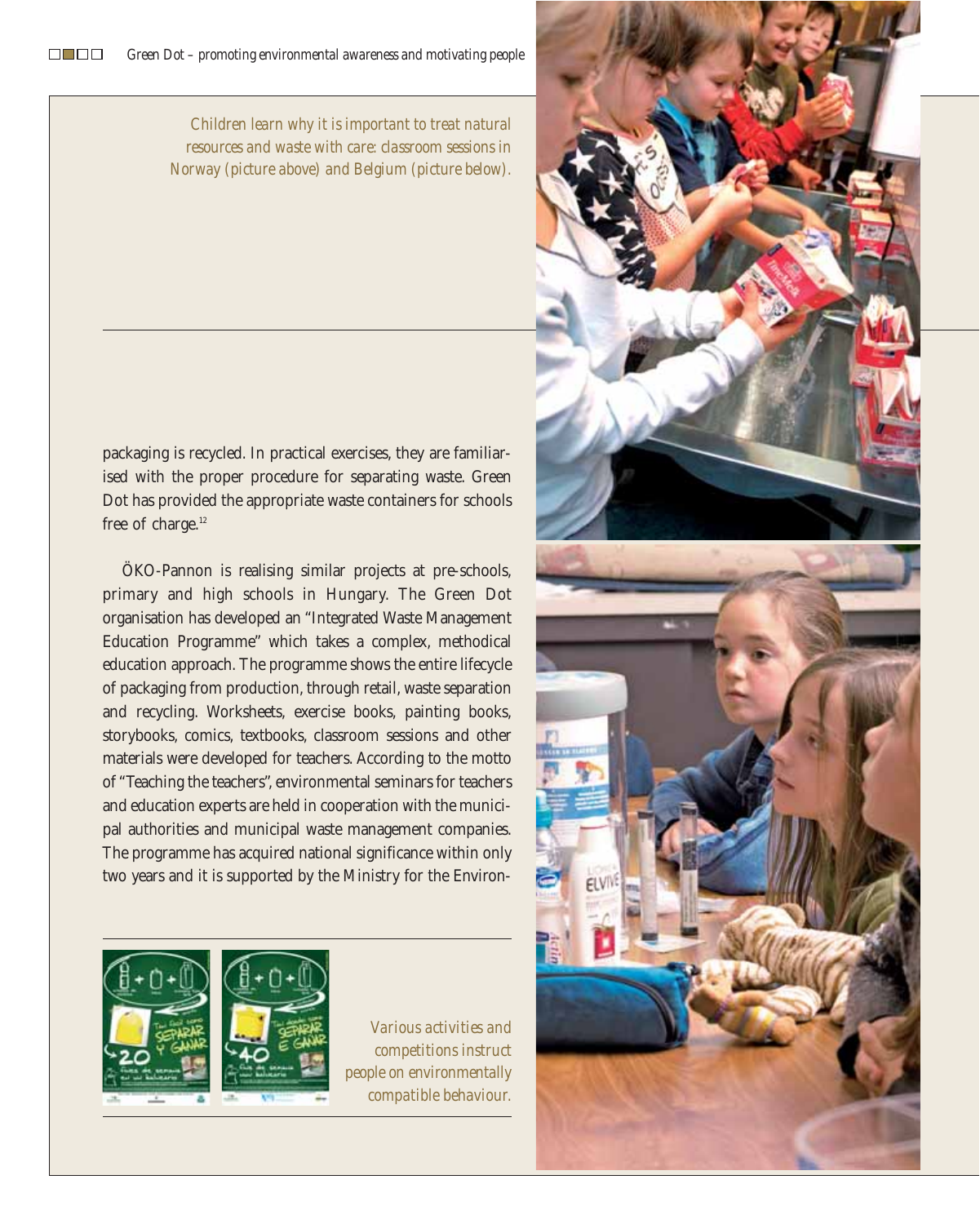*Children learn why it is important to treat natural resources and waste with care: classroom sessions in Norway (picture above) and Belgium (picture below).*

packaging is recycled. In practical exercises, they are familiarised with the proper procedure for separating waste. Green Dot has provided the appropriate waste containers for schools free of charge.<sup>12</sup>

ÖKO-Pannon is realising similar projects at pre-schools, primary and high schools in Hungary. The Green Dot organisation has developed an "Integrated Waste Management Education Programme" which takes a complex, methodical education approach. The programme shows the entire lifecycle of packaging from production, through retail, waste separation and recycling. Worksheets, exercise books, painting books, storybooks, comics, textbooks, classroom sessions and other materials were developed for teachers. According to the motto of "Teaching the teachers", environmental seminars for teachers and education experts are held in cooperation with the municipal authorities and municipal waste management companies. The programme has acquired national significance within only two years and it is supported by the Ministry for the Environ-



*Various activities and competitions instruct people on environmentally compatible behaviour.*

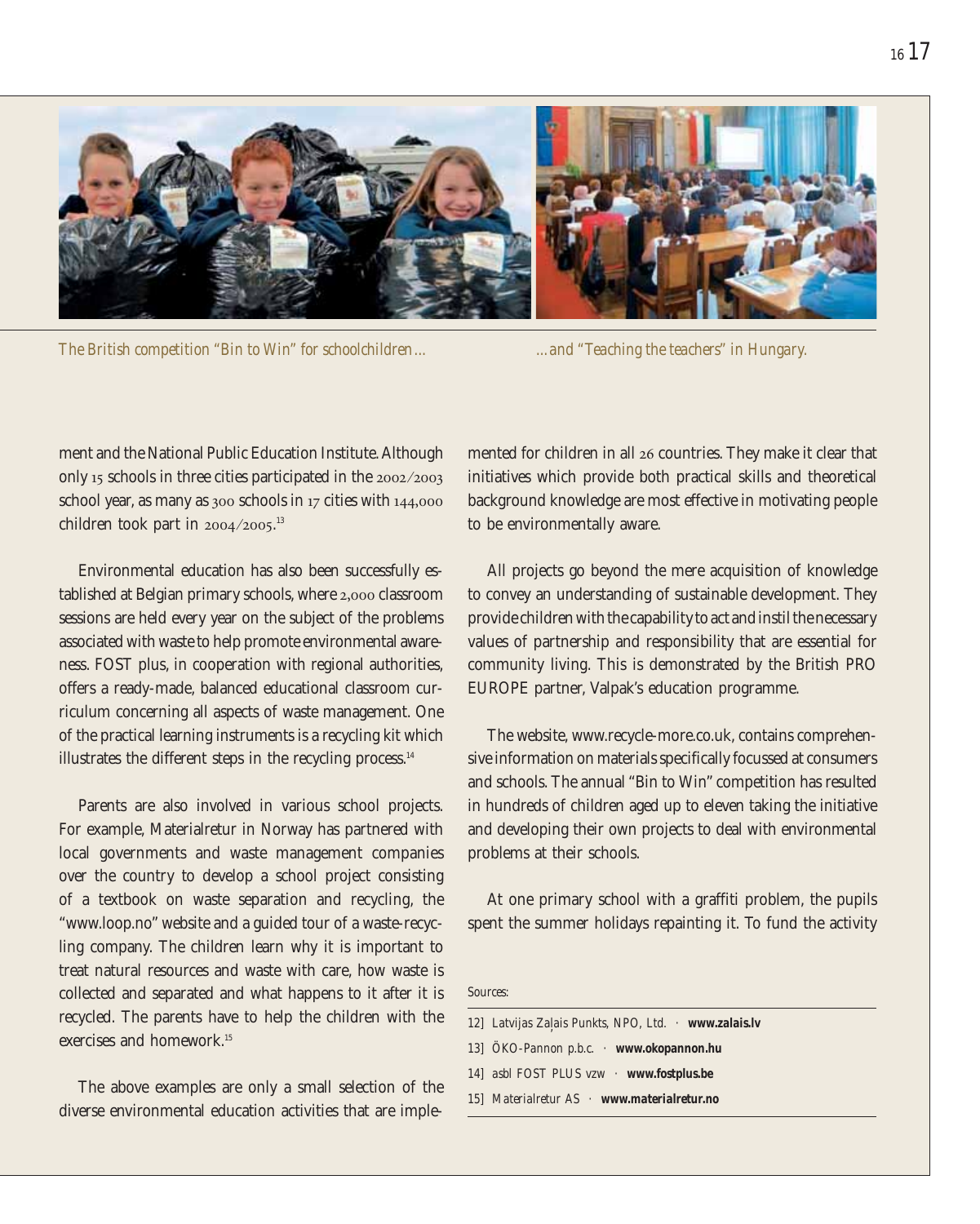

*The British competition "Bin to Win" for schoolchildren... ...and "Teaching the teachers" in Hungary.*

ment and the National Public Education Institute. Although only 15 schools in three cities participated in the 2002 ⁄2003 school year, as many as 300 schools in 17 cities with 144,000 children took part in  $2004/2005$ .<sup>13</sup>

Environmental education has also been successfully established at Belgian primary schools, where 2,000 classroom sessions are held every year on the subject of the problems associated with waste to help promote environmental awareness. FOST plus, in cooperation with regional authorities, offers a ready-made, balanced educational classroom curriculum concerning all aspects of waste management. One of the practical learning instruments is a recycling kit which illustrates the different steps in the recycling process.<sup>14</sup>

Parents are also involved in various school projects. For example, Materialretur in Norway has partnered with local governments and waste management companies over the country to develop a school project consisting of a textbook on waste separation and recycling, the "www.loop.no" website and a guided tour of a waste-recycling company. The children learn why it is important to treat natural resources and waste with care, how waste is collected and separated and what happens to it after it is recycled. The parents have to help the children with the exercises and homework<sup>15</sup>

The above examples are only a small selection of the diverse environmental education activities that are implemented for children in all 26 countries. They make it clear that initiatives which provide both practical skills and theoretical background knowledge are most effective in motivating people to be environmentally aware.

All projects go beyond the mere acquisition of knowledge to convey an understanding of sustainable development. They provide children with the capability to act and instil the necessary values of partnership and responsibility that are essential for community living. This is demonstrated by the British PRO EUROPE partner, Valpak's education programme.

The website, www.recycle-more.co.uk, contains comprehensive information on materials specifically focussed at consumers and schools. The annual "Bin to Win" competition has resulted in hundreds of children aged up to eleven taking the initiative and developing their own projects to deal with environmental problems at their schools.

At one primary school with a graffiti problem, the pupils spent the summer holidays repainting it. To fund the activity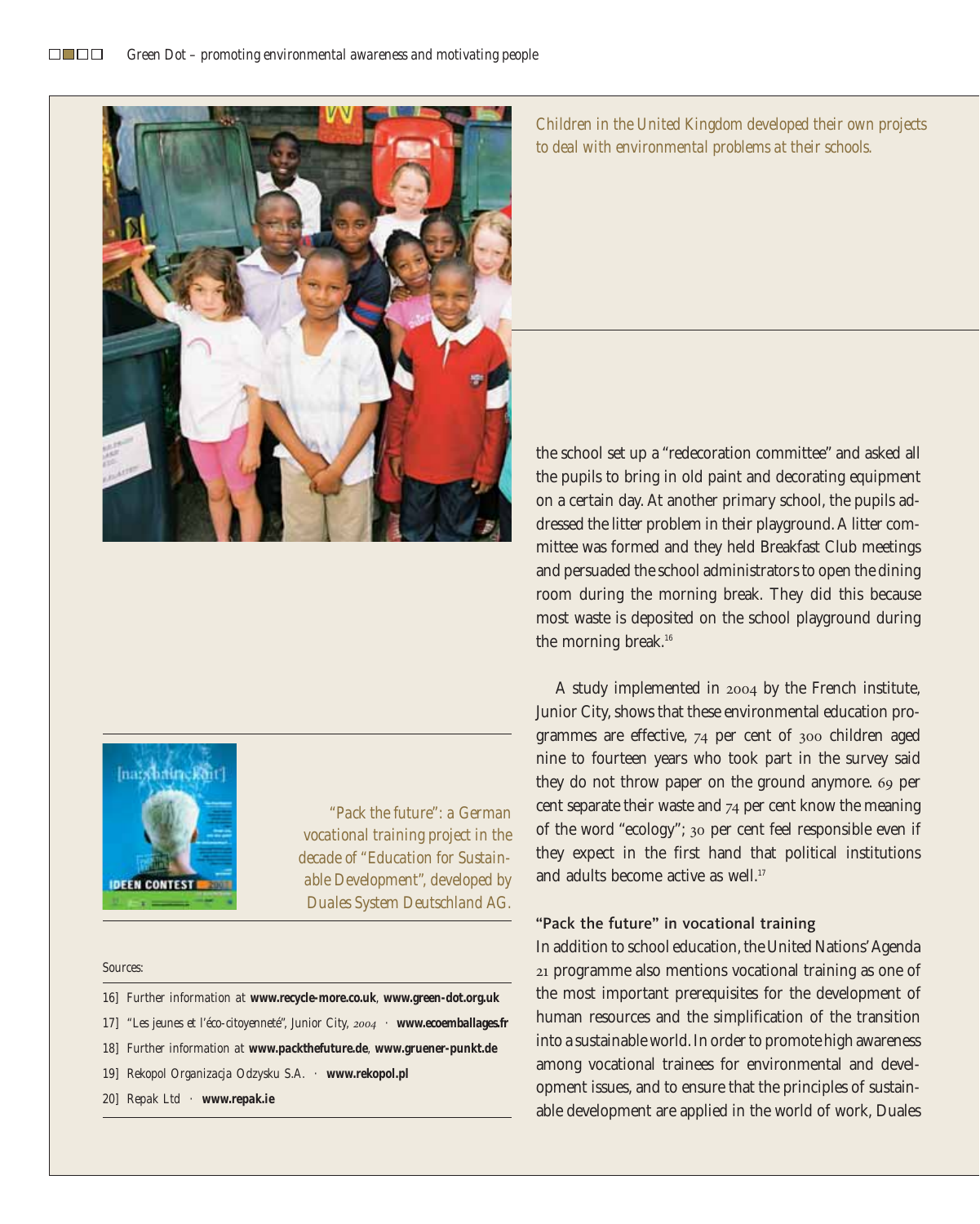

*Children in the United Kingdom developed their own projects to deal with environmental problems at their schools.*



*"Pack the future": a German vocational training project in the decade of "Education for Sustainable Development", developed by Duales System Deutschland AG.*

#### *Sources:*

- *16] Further information at www.recycle-more.co.uk, www.green-dot.org.uk*
- *17] "Les jeunes et l'éco-citoyenneté", Junior City, 2004 · www.ecoemballages.fr*
- *18] Further information at www.packthefuture.de, www.gruener-punkt.de*
- *19] Rekopol Organizacja Odzysku S.A. · www.rekopol.pl*
- *20] Repak Ltd · www.repak.ie*

the school set up a "redecoration committee" and asked all the pupils to bring in old paint and decorating equipment on a certain day. At another primary school, the pupils addressed the litter problem in their playground. A litter committee was formed and they held Breakfast Club meetings and persuaded the school administrators to open the dining room during the morning break. They did this because most waste is deposited on the school playground during the morning break.<sup>16</sup>

A study implemented in 2004 by the French institute, Junior City, shows that these environmental education programmes are effective, 74 per cent of 300 children aged nine to fourteen years who took part in the survey said they do not throw paper on the ground anymore. 69 per cent separate their waste and 74 per cent know the meaning of the word "ecology"; 30 per cent feel responsible even if they expect in the first hand that political institutions and adults become active as well.<sup>17</sup>

#### "Pack the future" in vocational training

In addition to school education, the United Nations' Agenda 21 programme also mentions vocational training as one of the most important prerequisites for the development of human resources and the simplification of the transition into a sustainable world. In order to promote high awareness among vocational trainees for environmental and development issues, and to ensure that the principles of sustainable development are applied in the world of work, Duales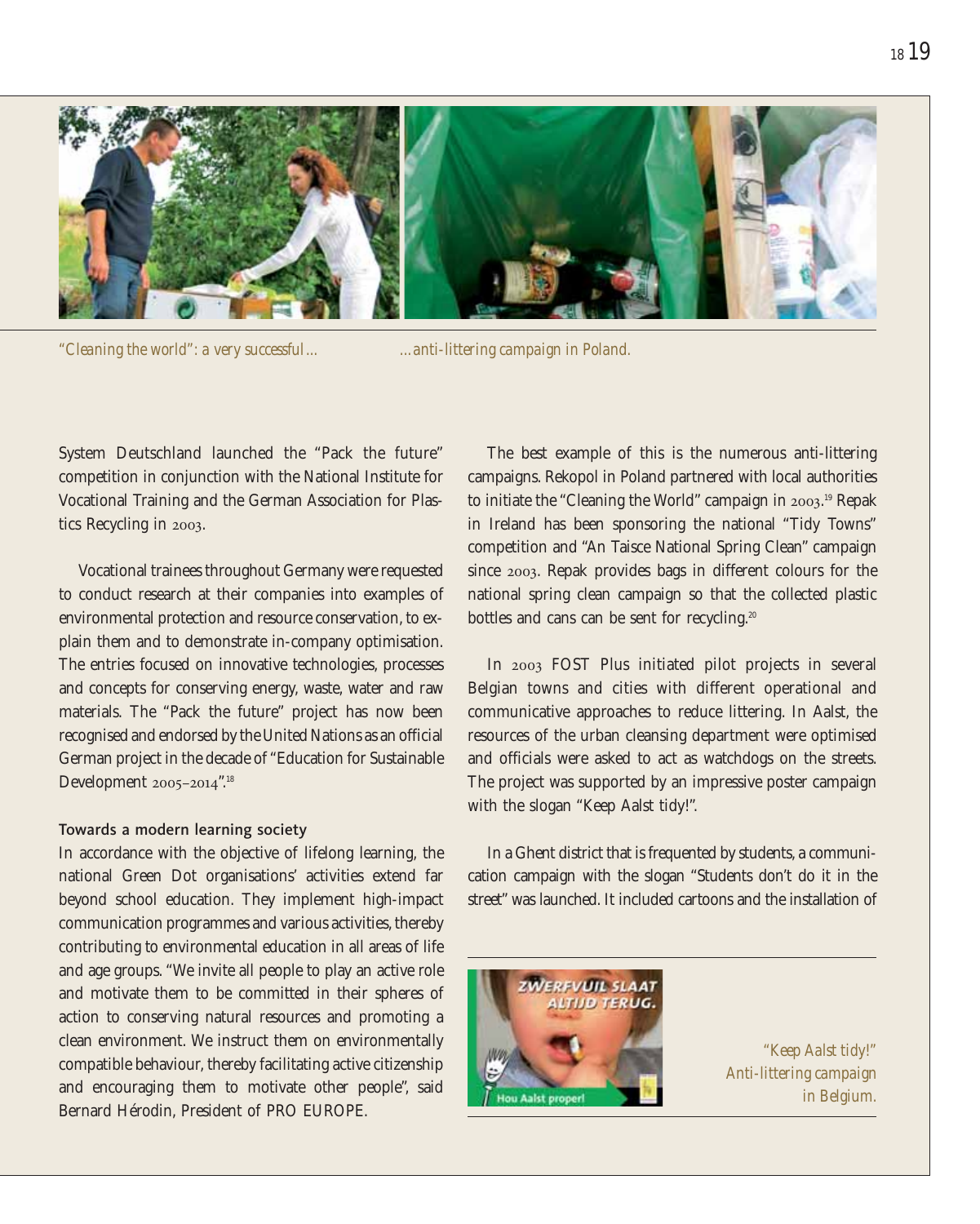

*"Cleaning the world": a very successful...*

*...anti-littering campaign in Poland.*

System Deutschland launched the "Pack the future" competition in conjunction with the National Institute for Vocational Training and the German Association for Plastics Recycling in 2003.

Vocational trainees throughout Germany were requested to conduct research at their companies into examples of environmental protection and resource conservation, to explain them and to demonstrate in-company optimisation. The entries focused on innovative technologies, processes and concepts for conserving energy, waste, water and raw materials. The "Pack the future" project has now been recognised and endorsed by the United Nations as an official German project in the decade of "Education for Sustainable Development 2005-2014".<sup>18</sup>

#### Towards a modern learning society

In accordance with the objective of lifelong learning, the national Green Dot organisations' activities extend far beyond school education. They implement high-impact communication programmes and various activities, thereby contributing to environmental education in all areas of life and age groups. "We invite all people to play an active role and motivate them to be committed in their spheres of action to conserving natural resources and promoting a clean environment. We instruct them on environmentally compatible behaviour, thereby facilitating active citizenship and encouraging them to motivate other people", said Bernard Hérodin, President of PRO EUROPE.

The best example of this is the numerous anti-littering campaigns. Rekopol in Poland partnered with local authorities to initiate the "Cleaning the World" campaign in 2003. <sup>19</sup> Repak in Ireland has been sponsoring the national "Tidy Towns" competition and "An Taisce National Spring Clean" campaign since 2003. Repak provides bags in different colours for the national spring clean campaign so that the collected plastic bottles and cans can be sent for recycling.<sup>20</sup>

In 2003 FOST Plus initiated pilot projects in several Belgian towns and cities with different operational and communicative approaches to reduce littering. In Aalst, the resources of the urban cleansing department were optimised and officials were asked to act as watchdogs on the streets. The project was supported by an impressive poster campaign with the slogan "Keep Aalst tidy!".

In a Ghent district that is frequented by students, a communication campaign with the slogan "Students don't do it in the street" was launched. It included cartoons and the installation of



*"Keep Aalst tidy!" Anti-littering campaign in Belgium.*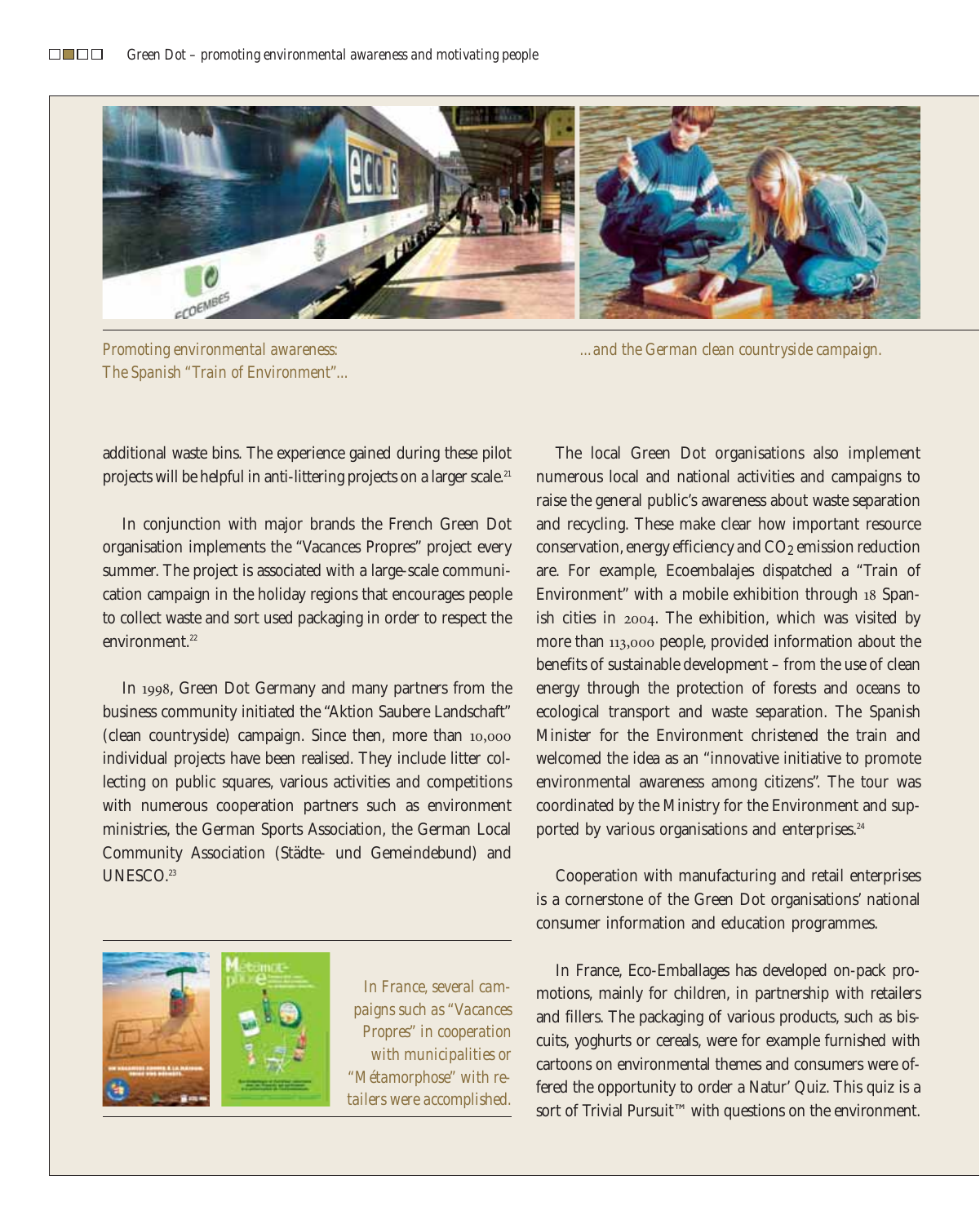

*Promoting environmental awareness: The Spanish "Train of Environment"...*

*...and the German clean countryside campaign.*

additional waste bins. The experience gained during these pilot projects will be helpful in anti-littering projects on a larger scale.<sup>21</sup>

In conjunction with major brands the French Green Dot organisation implements the "Vacances Propres" project every summer. The project is associated with a large-scale communication campaign in the holiday regions that encourages people to collect waste and sort used packaging in order to respect the environment.<sup>22</sup>

In 1998, Green Dot Germany and many partners from the business community initiated the "Aktion Saubere Landschaft" (clean countryside) campaign. Since then, more than 10,000 individual projects have been realised. They include litter collecting on public squares, various activities and competitions with numerous cooperation partners such as environment ministries, the German Sports Association, the German Local Community Association (Städte- und Gemeindebund) and UNESCO.<sup>23</sup>



*In France, several campaigns such as "Vacances Propres" in cooperation with municipalities or "Métamorphose" with retailers were accomplished.*

The local Green Dot organisations also implement numerous local and national activities and campaigns to raise the general public's awareness about waste separation and recycling. These make clear how important resource conservation, energy efficiency and CO2 emission reduction are. For example, Ecoembalajes dispatched a "Train of Environment" with a mobile exhibition through 18 Spanish cities in 2004. The exhibition, which was visited by more than 113,000 people, provided information about the benefits of sustainable development – from the use of clean energy through the protection of forests and oceans to ecological transport and waste separation. The Spanish Minister for the Environment christened the train and welcomed the idea as an "innovative initiative to promote environmental awareness among citizens". The tour was coordinated by the Ministry for the Environment and supported by various organisations and enterprises.<sup>24</sup>

Cooperation with manufacturing and retail enterprises is a cornerstone of the Green Dot organisations' national consumer information and education programmes.

In France, Eco-Emballages has developed on-pack promotions, mainly for children, in partnership with retailers and fillers. The packaging of various products, such as biscuits, yoghurts or cereals, were for example furnished with cartoons on environmental themes and consumers were offered the opportunity to order a Natur' Quiz. This quiz is a sort of Trivial Pursuit™ with questions on the environment.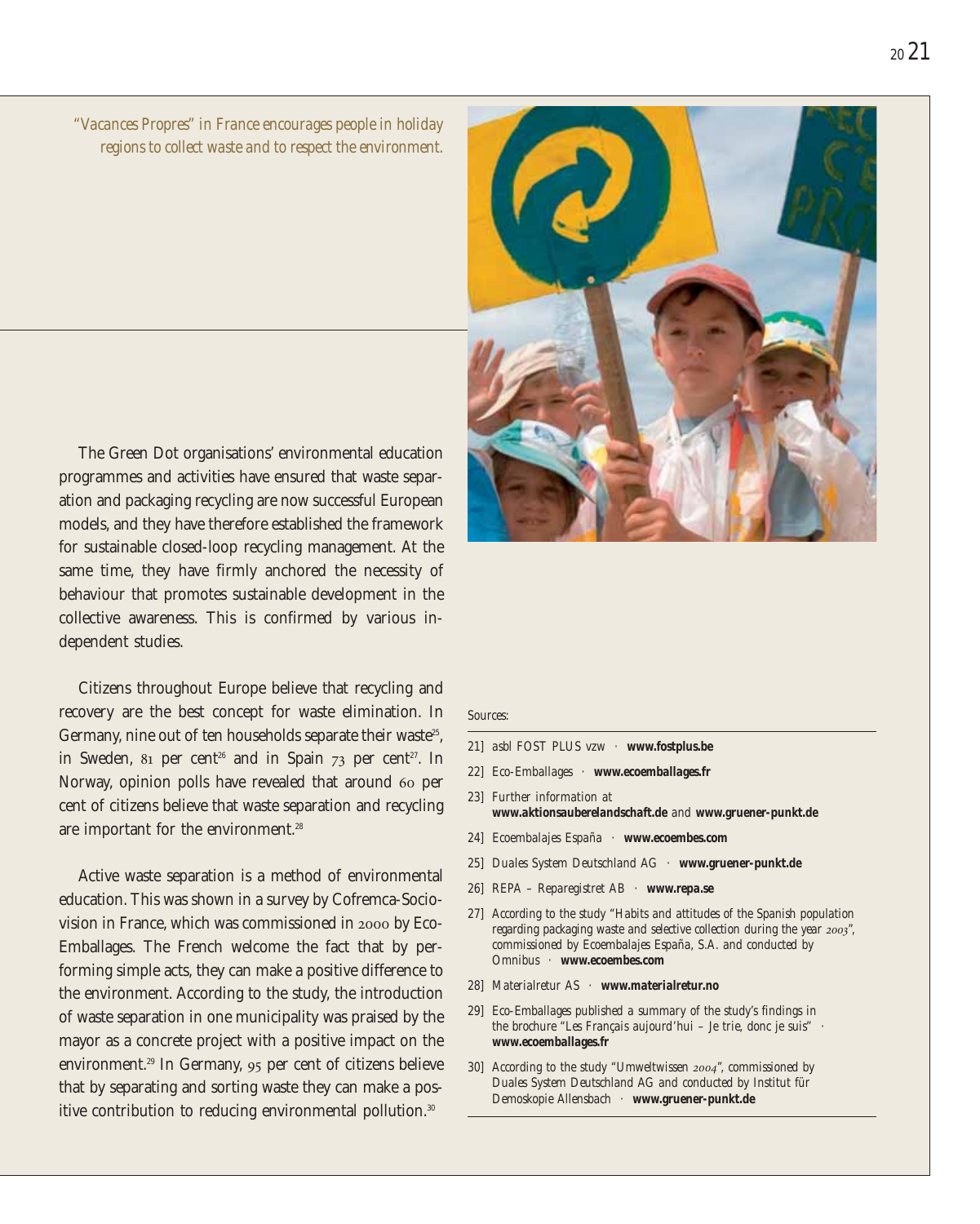*"Vacances Propres" in France encourages people in holiday regions to collect waste and to respect the environment.*

The Green Dot organisations' environmental education programmes and activities have ensured that waste separation and packaging recycling are now successful European models, and they have therefore established the framework for sustainable closed-loop recycling management. At the same time, they have firmly anchored the necessity of behaviour that promotes sustainable development in the collective awareness. This is confirmed by various independent studies.

Citizens throughout Europe believe that recycling and recovery are the best concept for waste elimination. In Germany, nine out of ten households separate their waste<sup>25</sup>, in Sweden, 81 per cent<sup>26</sup> and in Spain  $73$  per cent<sup>27</sup>. In Norway, opinion polls have revealed that around 60 per cent of citizens believe that waste separation and recycling are important for the environment.<sup>28</sup>

Active waste separation is a method of environmental education. This was shown in a survey by Cofremca-Sociovision in France, which was commissioned in 2000 by Eco-Emballages. The French welcome the fact that by performing simple acts, they can make a positive difference to the environment. According to the study, the introduction of waste separation in one municipality was praised by the mayor as a concrete project with a positive impact on the environment.29 In Germany, 95 per cent of citizens believe that by separating and sorting waste they can make a positive contribution to reducing environmental pollution.<sup>30</sup>



#### *Sources:*

- *21] asbl FOST PLUS vzw · www.fostplus.be*
- *22] Eco-Emballages · www.ecoemballages.fr*
- *23] Further information at www.aktionsauberelandschaft.de and www.gruener-punkt.de*
- *24] Ecoembalajes España · www.ecoembes.com*
- *25] Duales System Deutschland AG · www.gruener-punkt.de*
- *26] REPA Reparegistret AB · www.repa.se*
- *27] According to the study "Habits and attitudes of the Spanish population regarding packaging waste and selective collection during the year*  $2003$ *<sup>"</sup>, commissioned by Ecoembalajes España, S.A. and conducted by Omnibus · www.ecoembes.com*
- *28] Materialretur AS · www.materialretur.no*
- *29] Eco-Emballages published a summary of the study's findings in the brochure "Les Français aujourd'hui – Je trie, donc je suis" · www.ecoemballages.fr*
- *30] According to the study "Umweltwissen 2004", commissioned by Duales System Deutschland AG and conducted by Institut für Demoskopie Allensbach · www.gruener-punkt.de*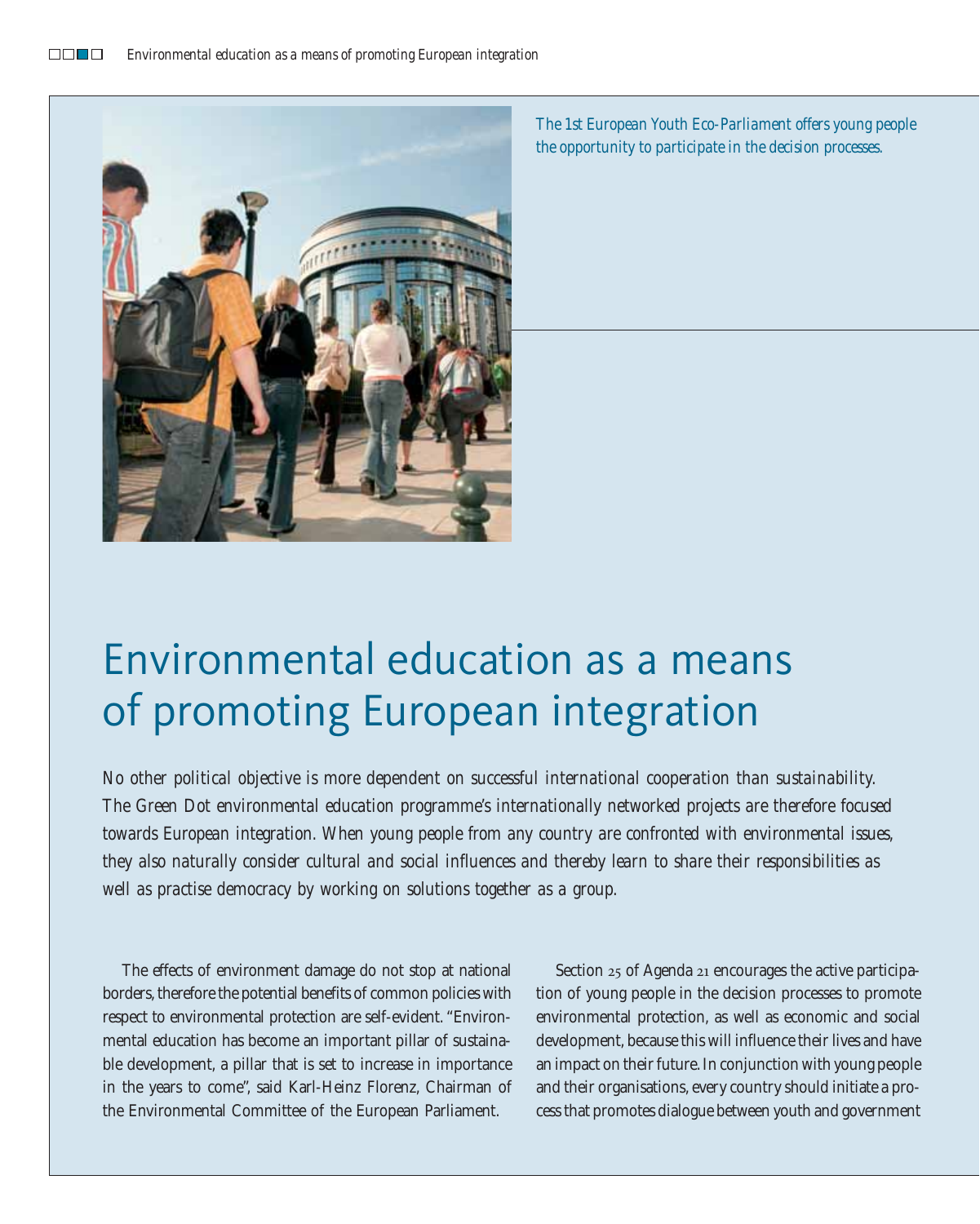

*The 1st European Youth Eco-Parliament offers young people the opportunity to participate in the decision processes.*

# Environmental education as a means of promoting European integration

*No other political objective is more dependent on successful international cooperation than sustainability. The Green Dot environmental education programme's internationally networked projects are therefore focused towards European integration. When young people from any country are confronted with environmental issues, they also naturally consider cultural and social influences and thereby learn to share their responsibilities as well as practise democracy by working on solutions together as a group.*

The effects of environment damage do not stop at national borders, therefore the potential benefits of common policies with respect to environmental protection are self-evident. "Environmental education has become an important pillar of sustainable development, a pillar that is set to increase in importance in the years to come", said Karl-Heinz Florenz, Chairman of the Environmental Committee of the European Parliament.

Section 25 of Agenda 21 encourages the active participation of young people in the decision processes to promote environmental protection, as well as economic and social development, because this will influence their lives and have an impact on their future. In conjunction with young people and their organisations, every country should initiate a process that promotes dialogue between youth and government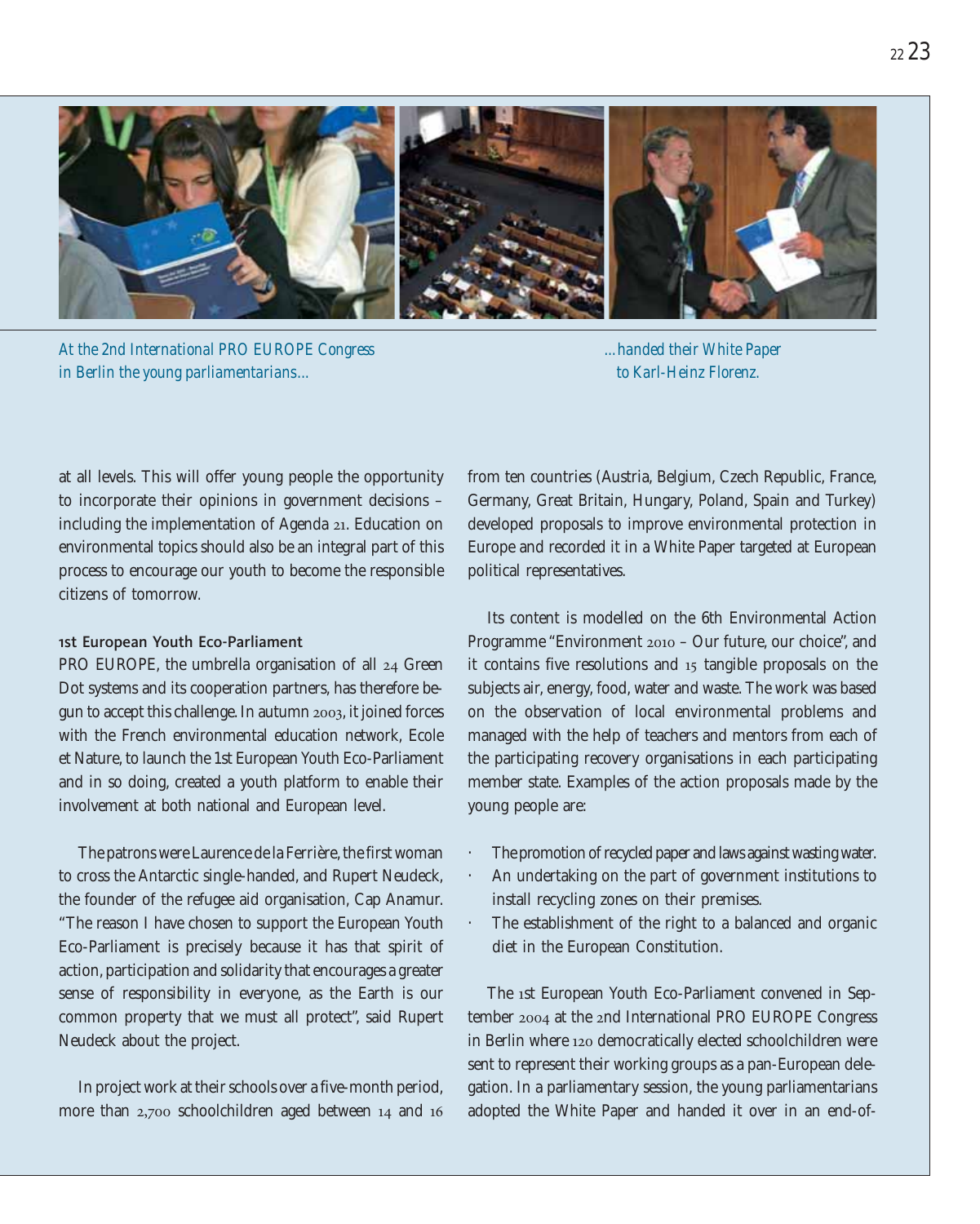

*At the 2nd International PRO EUROPE Congress in Berlin the young parliamentarians...*

*...handed their White Paper to Karl-Heinz Florenz.*

at all levels. This will offer young people the opportunity to incorporate their opinions in government decisions – including the implementation of Agenda 21. Education on environmental topics should also be an integral part of this process to encourage our youth to become the responsible citizens of tomorrow.

### 1st European Youth Eco-Parliament

PRO EUROPE, the umbrella organisation of all 24 Green Dot systems and its cooperation partners, has therefore begun to accept this challenge. In autumn 2003, it joined forces with the French environmental education network, Ecole et Nature, to launch the 1st European Youth Eco-Parliament and in so doing, created a youth platform to enable their involvement at both national and European level.

The patrons were Laurence de la Ferrière, the first woman to cross the Antarctic single-handed, and Rupert Neudeck, the founder of the refugee aid organisation, Cap Anamur. "The reason I have chosen to support the European Youth Eco-Parliament is precisely because it has that spirit of action, participation and solidarity that encourages a greater sense of responsibility in everyone, as the Earth is our common property that we must all protect", said Rupert Neudeck about the project.

In project work at their schools over a five-month period, more than 2,700 schoolchildren aged between 14 and 16 from ten countries (Austria, Belgium, Czech Republic, France, Germany, Great Britain, Hungary, Poland, Spain and Turkey) developed proposals to improve environmental protection in Europe and recorded it in a White Paper targeted at European political representatives.

Its content is modelled on the 6th Environmental Action Programme "Environment 2010 – Our future, our choice", and it contains five resolutions and 15 tangible proposals on the subjects air, energy, food, water and waste. The work was based on the observation of local environmental problems and managed with the help of teachers and mentors from each of the participating recovery organisations in each participating member state. Examples of the action proposals made by the young people are:

- The promotion of recycled paper and laws against wasting water.
- An undertaking on the part of government institutions to install recycling zones on their premises.
- The establishment of the right to a balanced and organic diet in the European Constitution.

The 1st European Youth Eco-Parliament convened in September 2004 at the 2nd International PRO EUROPE Congress in Berlin where 120 democratically elected schoolchildren were sent to represent their working groups as a pan-European delegation. In a parliamentary session, the young parliamentarians adopted the White Paper and handed it over in an end-of-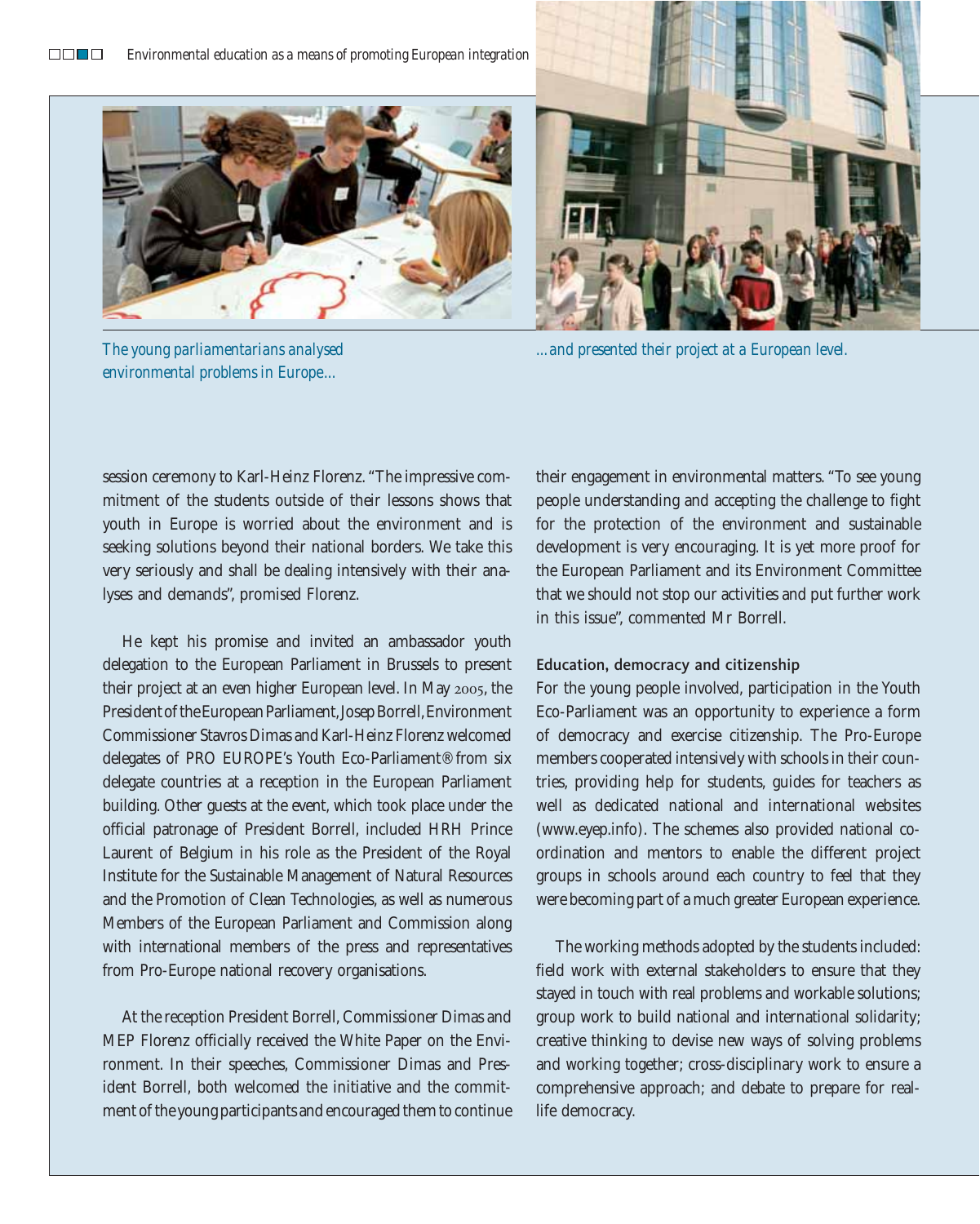

*environmental problems in Europe...*

*The young parliamentarians analysed ...and presented their project at a European level.*

session ceremony to Karl-Heinz Florenz. "The impressive commitment of the students outside of their lessons shows that youth in Europe is worried about the environment and is seeking solutions beyond their national borders. We take this very seriously and shall be dealing intensively with their analyses and demands", promised Florenz.

He kept his promise and invited an ambassador youth delegation to the European Parliament in Brussels to present their project at an even higher European level. In May 2005, the President of the European Parliament,Josep Borrell,Environment Commissioner Stavros Dimas and Karl-Heinz Florenz welcomed delegates of PRO EUROPE's Youth Eco-Parliament® from six delegate countries at a reception in the European Parliament building. Other guests at the event, which took place under the official patronage of President Borrell, included HRH Prince Laurent of Belgium in his role as the President of the Royal Institute for the Sustainable Management of Natural Resources and the Promotion of Clean Technologies, as well as numerous Members of the European Parliament and Commission along with international members of the press and representatives from Pro-Europe national recovery organisations.

At the reception President Borrell, Commissioner Dimas and MEP Florenz officially received the White Paper on the Environment. In their speeches, Commissioner Dimas and President Borrell, both welcomed the initiative and the commitment of the young participants and encouraged them to continue their engagement in environmental matters. "To see young people understanding and accepting the challenge to fight for the protection of the environment and sustainable development is very encouraging. It is yet more proof for the European Parliament and its Environment Committee that we should not stop our activities and put further work in this issue", commented Mr Borrell.

#### Education, democracy and citizenship

For the young people involved, participation in the Youth Eco-Parliament was an opportunity to experience a form of democracy and exercise citizenship. The Pro-Europe members cooperated intensively with schools in their countries, providing help for students, guides for teachers as well as dedicated national and international websites (www.eyep.info). The schemes also provided national coordination and mentors to enable the different project groups in schools around each country to feel that they were becoming part of a much greater European experience.

The working methods adopted by the students included: field work with external stakeholders to ensure that they stayed in touch with real problems and workable solutions; group work to build national and international solidarity; creative thinking to devise new ways of solving problems and working together; cross-disciplinary work to ensure a comprehensive approach; and debate to prepare for reallife democracy.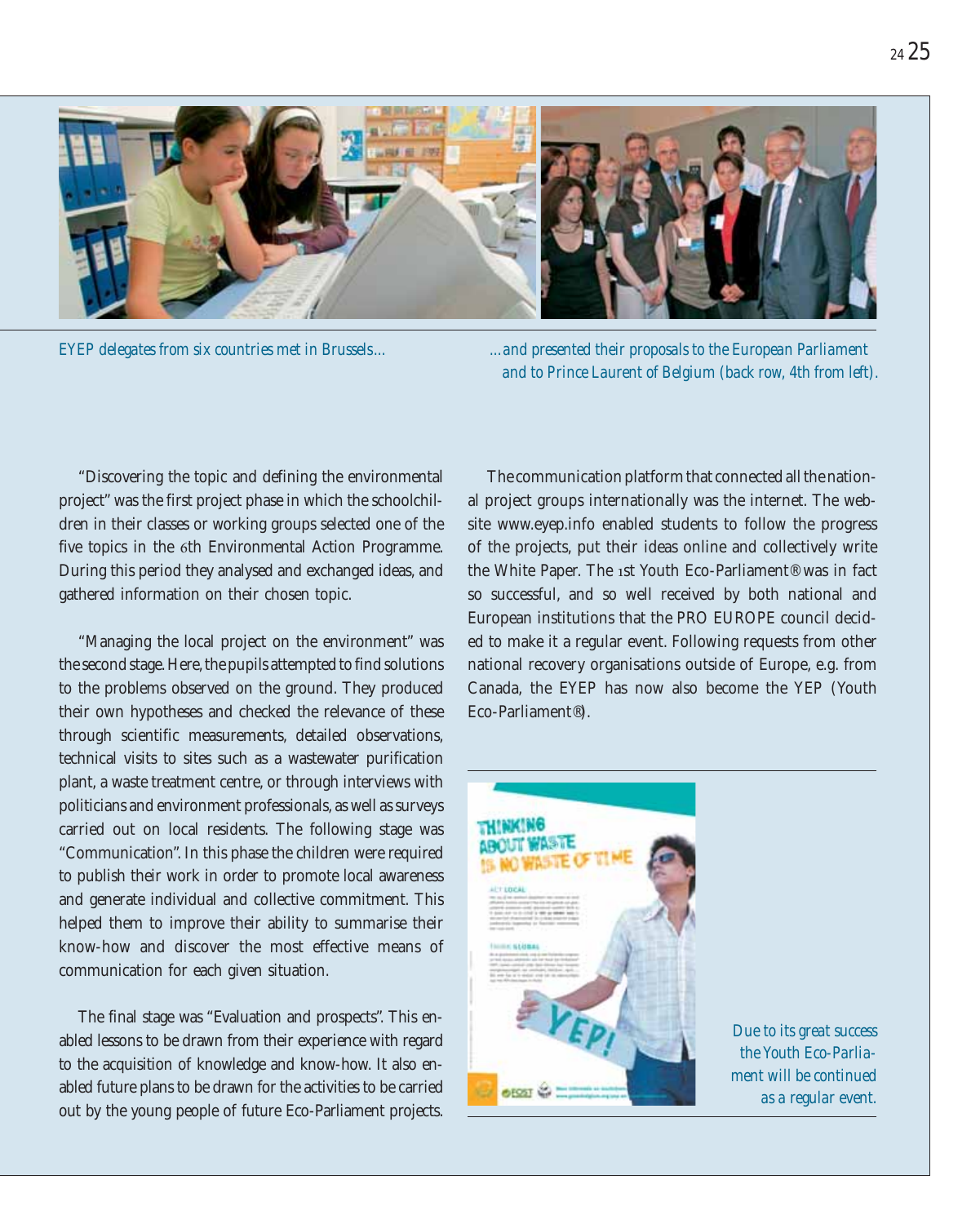

*EYEP delegates from six countries met in Brussels... ...and presented their proposals to the European Parliament and to Prince Laurent of Belgium (back row, 4th from left).*

"Discovering the topic and defining the environmental project" was the first project phase in which the schoolchildren in their classes or working groups selected one of the five topics in the 6th Environmental Action Programme. During this period they analysed and exchanged ideas, and gathered information on their chosen topic.

"Managing the local project on the environment" was the second stage. Here, the pupils attempted to find solutions to the problems observed on the ground. They produced their own hypotheses and checked the relevance of these through scientific measurements, detailed observations, technical visits to sites such as a wastewater purification plant, a waste treatment centre, or through interviews with politicians and environment professionals, as well as surveys carried out on local residents. The following stage was "Communication". In this phase the children were required to publish their work in order to promote local awareness and generate individual and collective commitment. This helped them to improve their ability to summarise their know-how and discover the most effective means of communication for each given situation.

The final stage was "Evaluation and prospects". This enabled lessons to be drawn from their experience with regard to the acquisition of knowledge and know-how. It also enabled future plans to be drawn for the activities to be carried out by the young people of future Eco-Parliament projects.

The communication platform that connected all the national project groups internationally was the internet. The website www.eyep.info enabled students to follow the progress of the projects, put their ideas online and collectively write the White Paper. The 1st Youth Eco-Parliament® was in fact so successful, and so well received by both national and European institutions that the PRO EUROPE council decided to make it a regular event. Following requests from other national recovery organisations outside of Europe, e.g. from Canada, the EYEP has now also become the YEP (Youth Eco-Parliament®).



*Due to its great success the Youth Eco-Parliament will be continued as a regular event.*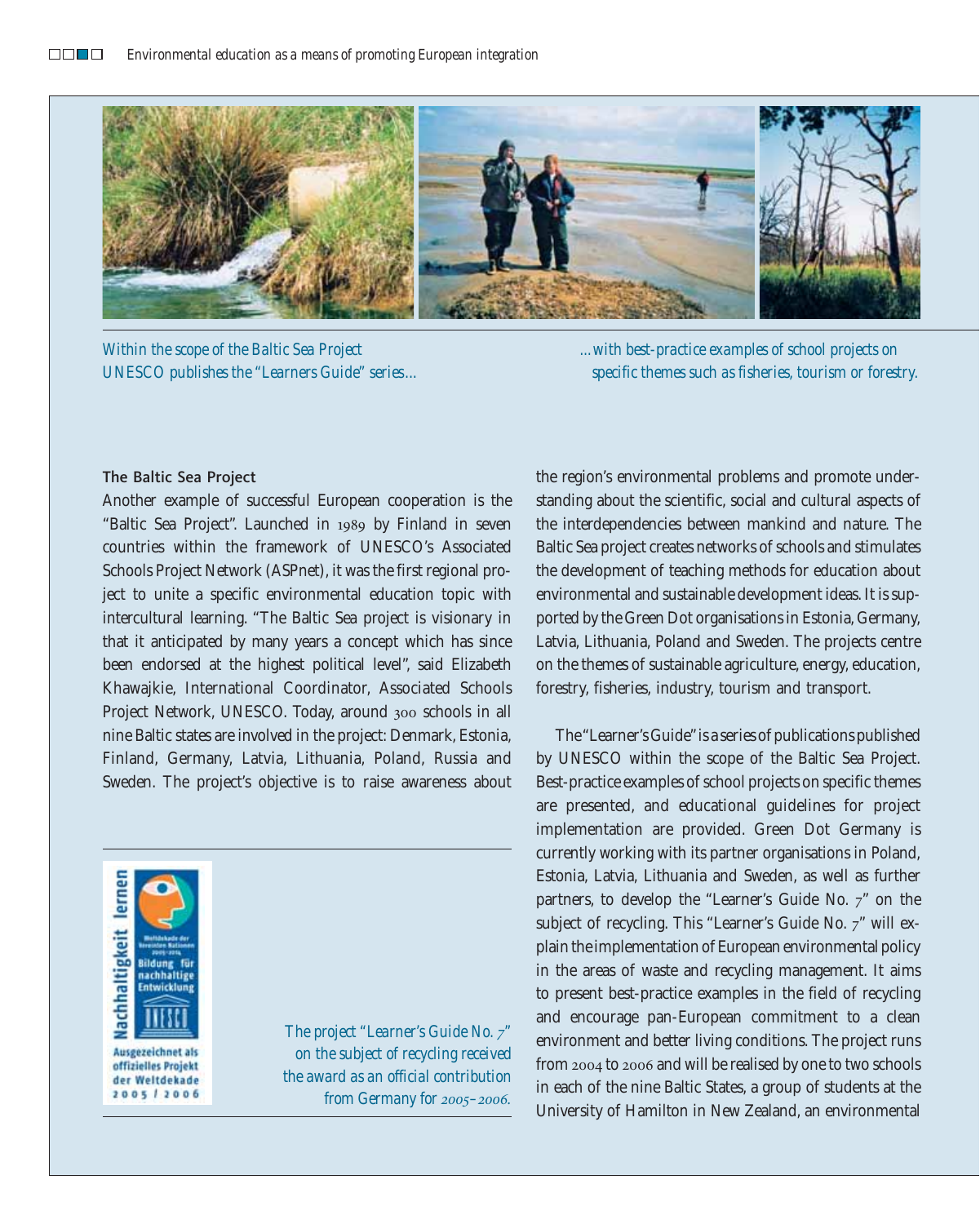

*Within the scope of the Baltic Sea Project UNESCO publishes the "Learners Guide" series...*

*...with best-practice examples of school projects on specific themes such as fisheries, tourism or forestry.*

#### The Baltic Sea Project

Another example of successful European cooperation is the "Baltic Sea Project". Launched in 1989 by Finland in seven countries within the framework of UNESCO's Associated Schools Project Network (ASPnet), it was the first regional project to unite a specific environmental education topic with intercultural learning. "The Baltic Sea project is visionary in that it anticipated by many years a concept which has since been endorsed at the highest political level", said Elizabeth Khawajkie, International Coordinator, Associated Schools Project Network, UNESCO. Today, around 300 schools in all nine Baltic states are involved in the project: Denmark, Estonia, Finland, Germany, Latvia, Lithuania, Poland, Russia and Sweden. The project's objective is to raise awareness about



offizielles Projekt der Weltdekade 2005 2006

*The project "Learner's Guide No. 7" on the subject of recycling received the award as an official contribution from Germany for 2005–2006.* the region's environmental problems and promote understanding about the scientific, social and cultural aspects of the interdependencies between mankind and nature. The Baltic Sea project creates networks of schools and stimulates the development of teaching methods for education about environmental and sustainable development ideas. It is supported by the Green Dot organisations in Estonia, Germany, Latvia, Lithuania, Poland and Sweden. The projects centre on the themes of sustainable agriculture, energy, education, forestry, fisheries, industry, tourism and transport.

The "Learner's Guide"is a series of publications published by UNESCO within the scope of the Baltic Sea Project. Best-practice examples of school projects on specific themes are presented, and educational guidelines for project implementation are provided. Green Dot Germany is currently working with its partner organisations in Poland, Estonia, Latvia, Lithuania and Sweden, as well as further partners, to develop the "Learner's Guide No. 7" on the subject of recycling. This "Learner's Guide No. 7" will explain the implementation of European environmental policy in the areas of waste and recycling management. It aims to present best-practice examples in the field of recycling and encourage pan-European commitment to a clean environment and better living conditions. The project runs from 2004 to 2006 and will be realised by one to two schools in each of the nine Baltic States, a group of students at the University of Hamilton in New Zealand, an environmental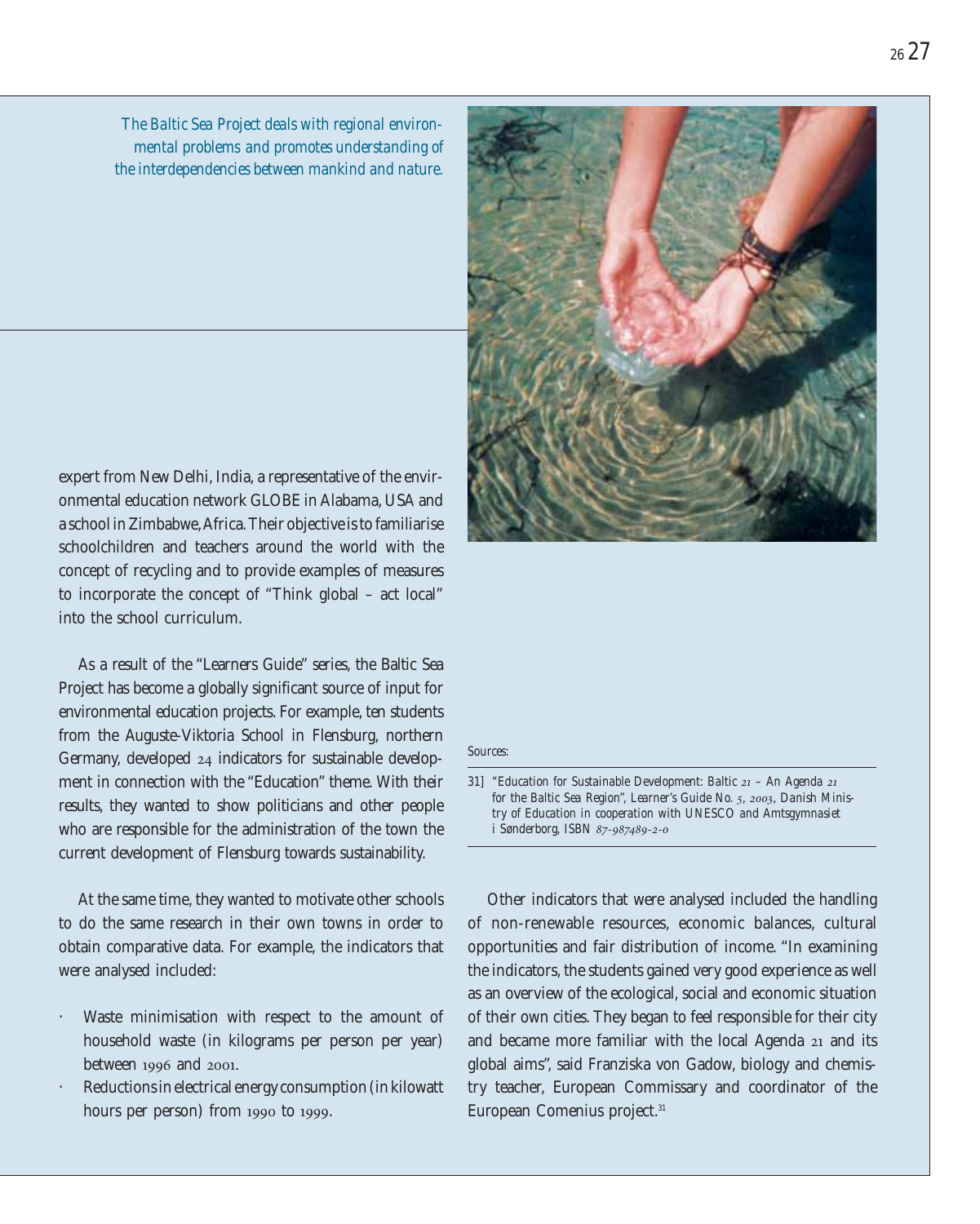*The Baltic Sea Project deals with regional environmental problems and promotes understanding of the interdependencies between mankind and nature.*

expert from New Delhi, India, a representative of the environmental education network GLOBE in Alabama, USA and a school in Zimbabwe,Africa. Their objective is to familiarise schoolchildren and teachers around the world with the concept of recycling and to provide examples of measures to incorporate the concept of "Think global – act local" into the school curriculum.

As a result of the "Learners Guide" series, the Baltic Sea Project has become a globally significant source of input for environmental education projects. For example, ten students from the Auguste-Viktoria School in Flensburg, northern Germany, developed 24 indicators for sustainable development in connection with the "Education" theme. With their results, they wanted to show politicians and other people who are responsible for the administration of the town the current development of Flensburg towards sustainability.

At the same time, they wanted to motivate other schools to do the same research in their own towns in order to obtain comparative data. For example, the indicators that were analysed included:

- Waste minimisation with respect to the amount of household waste (in kilograms per person per year) between 1996 and 2001.
- Reductions in electrical energy consumption (in kilowatt hours per person) from 1990 to 1999.



*Sources:*

*31] "Education for Sustainable Development: Baltic 21 – An Agenda 21 for the Baltic Sea Region", Learner's Guide No. 5, 2003, Danish Ministry of Education in cooperation with UNESCO and Amtsgymnasiet i Sønderborg, ISBN 87-987489-2-0*

Other indicators that were analysed included the handling of non-renewable resources, economic balances, cultural opportunities and fair distribution of income. "In examining the indicators, the students gained very good experience as well as an overview of the ecological, social and economic situation of their own cities. They began to feel responsible for their city and became more familiar with the local Agenda 21 and its global aims", said Franziska von Gadow, biology and chemistry teacher, European Commissary and coordinator of the European Comenius project.<sup>31</sup>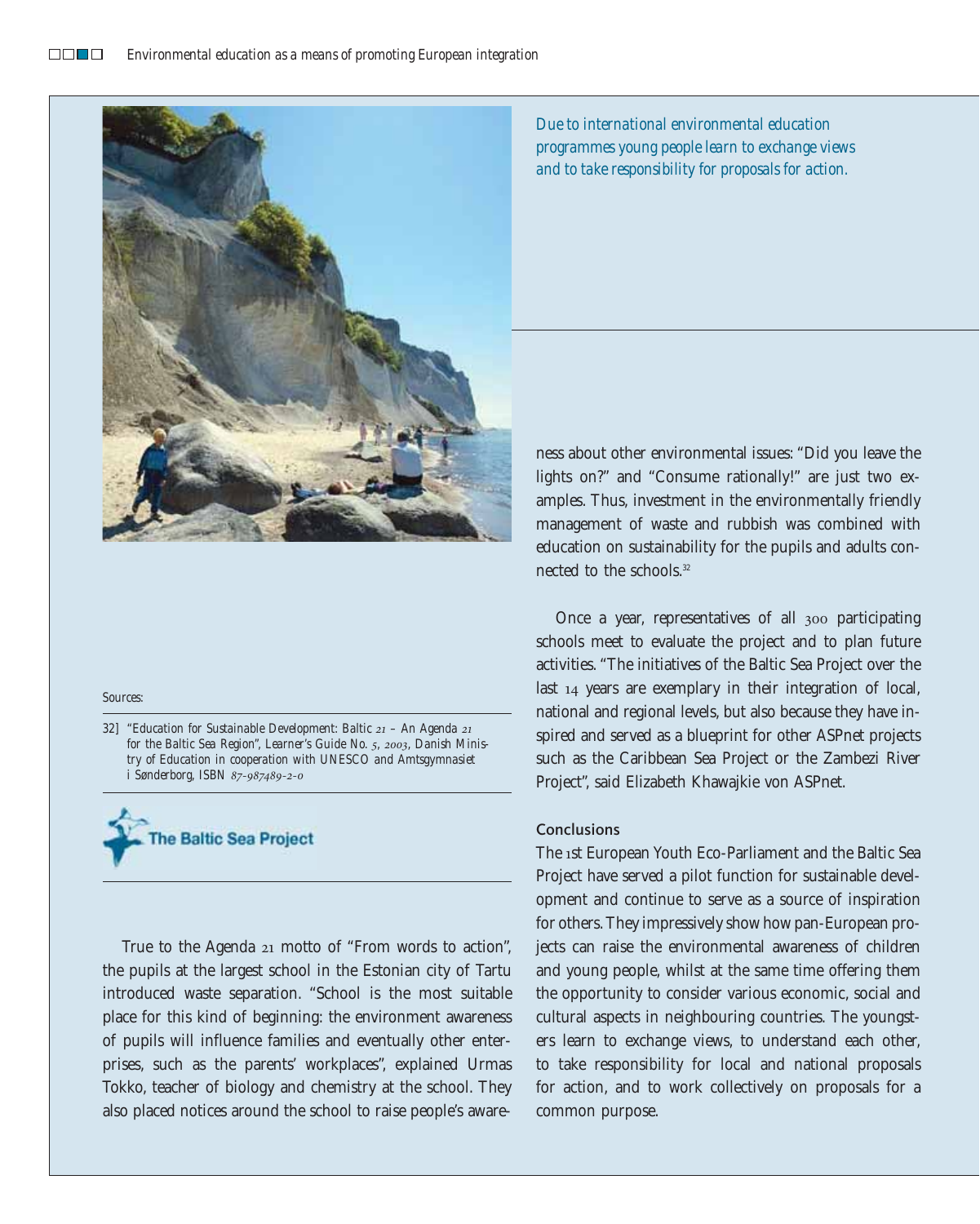

#### *Sources:*

*32] "Education for Sustainable Development: Baltic 21 – An Agenda 21 for the Baltic Sea Region", Learner's Guide No. 5, 2003, Danish Ministry of Education in cooperation with UNESCO and Amtsgymnasiet i Sønderborg, ISBN 87-987489-2-0*



True to the Agenda 21 motto of "From words to action", the pupils at the largest school in the Estonian city of Tartu introduced waste separation. "School is the most suitable place for this kind of beginning: the environment awareness of pupils will influence families and eventually other enterprises, such as the parents' workplaces", explained Urmas Tokko, teacher of biology and chemistry at the school. They also placed notices around the school to raise people's aware*Due to international environmental education programmes young people learn to exchange views and to take responsibility for proposals for action.*

ness about other environmental issues: "Did you leave the lights on?" and "Consume rationally!" are just two examples. Thus, investment in the environmentally friendly management of waste and rubbish was combined with education on sustainability for the pupils and adults connected to the schools.<sup>32</sup>

Once a year, representatives of all 300 participating schools meet to evaluate the project and to plan future activities. "The initiatives of the Baltic Sea Project over the last 14 years are exemplary in their integration of local, national and regional levels, but also because they have inspired and served as a blueprint for other ASPnet projects such as the Caribbean Sea Project or the Zambezi River Project", said Elizabeth Khawajkie von ASPnet.

#### **Conclusions**

The 1st European Youth Eco-Parliament and the Baltic Sea Project have served a pilot function for sustainable development and continue to serve as a source of inspiration for others. They impressively show how pan-European projects can raise the environmental awareness of children and young people, whilst at the same time offering them the opportunity to consider various economic, social and cultural aspects in neighbouring countries. The youngsters learn to exchange views, to understand each other, to take responsibility for local and national proposals for action, and to work collectively on proposals for a common purpose.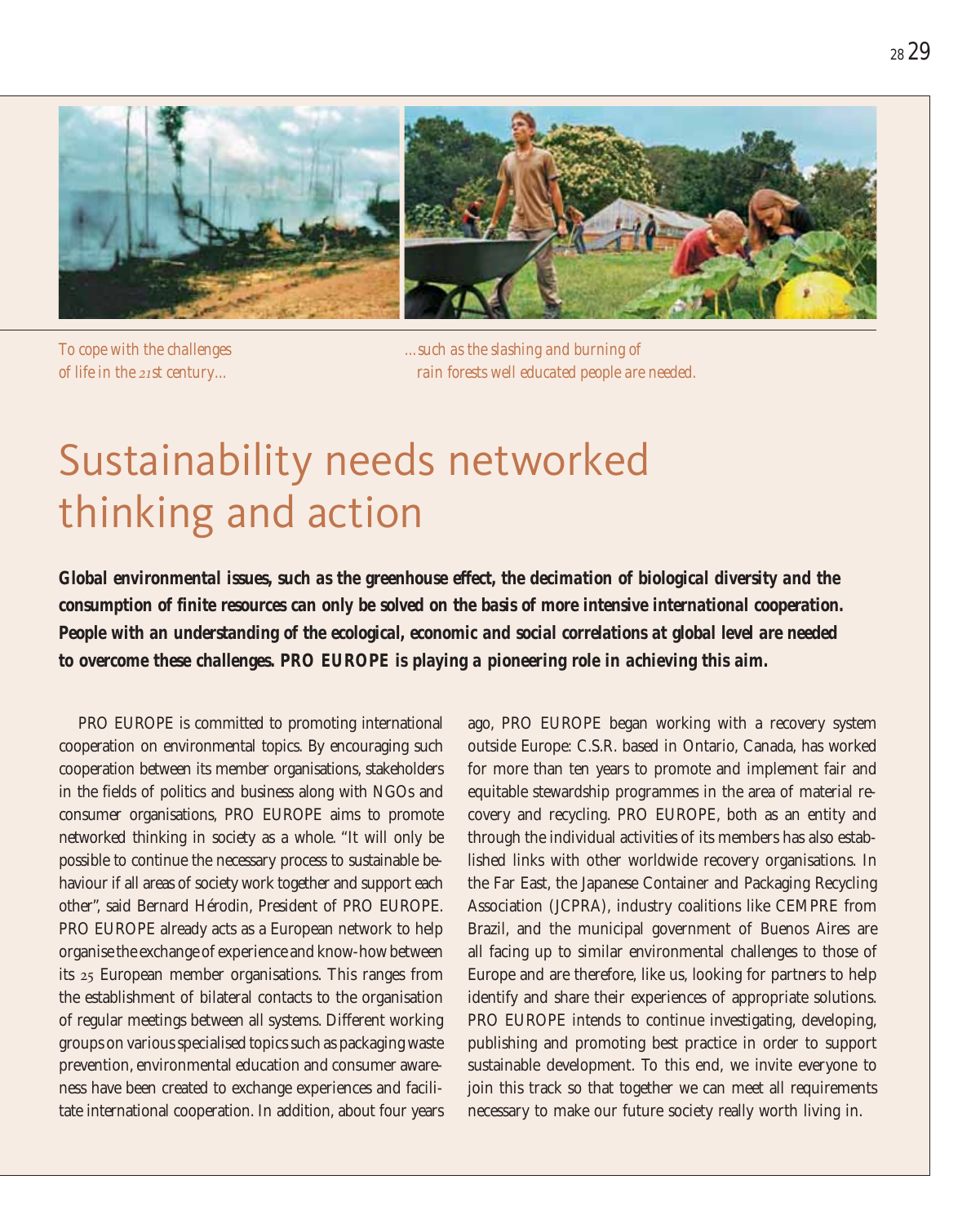

*To cope with the challenges of life in the 21st century...*

*...such as the slashing and burning of rain forests well educated people are needed.*

# Sustainability needs networked thinking and action

*Global environmental issues, such as the greenhouse effect, the decimation of biological diversity and the consumption of finite resources can only be solved on the basis of more intensive international cooperation. People with an understanding of the ecological, economic and social correlations at global level are needed to overcome these challenges. PRO EUROPE is playing a pioneering role in achieving this aim.*

PRO EUROPE is committed to promoting international cooperation on environmental topics. By encouraging such cooperation between its member organisations, stakeholders in the fields of politics and business along with NGOs and consumer organisations, PRO EUROPE aims to promote networked thinking in society as a whole. "It will only be possible to continue the necessary process to sustainable behaviour if all areas of society work together and support each other", said Bernard Hérodin, President of PRO EUROPE. PRO EUROPE already acts as a European network to help organise the exchange of experience and know-how between its 25 European member organisations. This ranges from the establishment of bilateral contacts to the organisation of regular meetings between all systems. Different working groups on various specialised topics such as packaging waste prevention, environmental education and consumer awareness have been created to exchange experiences and facilitate international cooperation. In addition, about four years ago, PRO EUROPE began working with a recovery system outside Europe: C.S.R. based in Ontario, Canada, has worked for more than ten years to promote and implement fair and equitable stewardship programmes in the area of material recovery and recycling. PRO EUROPE, both as an entity and through the individual activities of its members has also established links with other worldwide recovery organisations. In the Far East, the Japanese Container and Packaging Recycling Association (JCPRA), industry coalitions like CEMPRE from Brazil, and the municipal government of Buenos Aires are all facing up to similar environmental challenges to those of Europe and are therefore, like us, looking for partners to help identify and share their experiences of appropriate solutions. PRO EUROPE intends to continue investigating, developing, publishing and promoting best practice in order to support sustainable development. To this end, we invite everyone to join this track so that together we can meet all requirements necessary to make our future society really worth living in.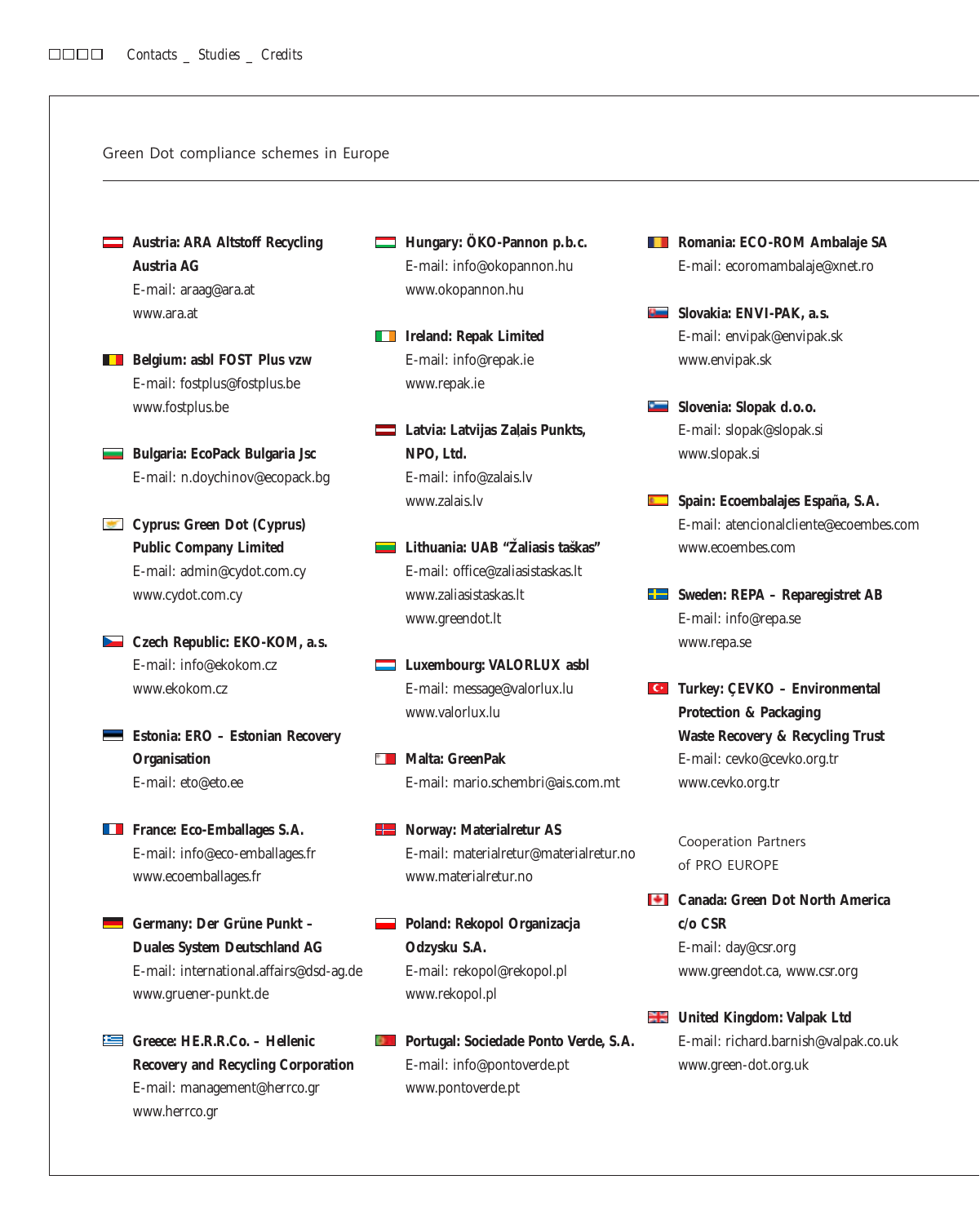Green Dot compliance schemes in Europe

- **Austria: ARA Altstoff Recycling Austria AG** E-mail: araag@ara.at www.ara.at
- **Belgium: asbl FOST Plus vzw** E-mail: fostplus@fostplus.be www.fostplus.be
- **Bulgaria: EcoPack Bulgaria Jsc** E-mail: n.doychinov@ecopack.bg
- **Cyprus: Green Dot (Cyprus) Public Company Limited** E-mail: admin@cydot.com.cy www.cydot.com.cy
- **Czech Republic: EKO-KOM, a.s.** E-mail: info@ekokom.cz www.ekokom.cz
- **Estonia: ERO Estonian Recovery Organisation** E-mail: eto@eto.ee
- **France: Eco-Emballages S.A.** E-mail: info@eco-emballages.fr www.ecoemballages.fr
- Germany: Der Grüne Punkt **Duales System Deutschland AG** E-mail: international.affairs@dsd-ag.de www.gruener-punkt.de
- **Greece: HE.R.R.Co. Hellenic Recovery and Recycling Corporation** E-mail: management@herrco.gr www.herrco.gr
- **Hungary: ÖKO-Pannon p.b.c.** E-mail: info@okopannon.hu www.okopannon.hu
- **IFF** Ireland: Repak Limited E-mail: info@repak.ie www.repak.ie
- **Latvia: Latvijas Zalais Punkts, NPO, Ltd.** E-mail: info@zalais.lv www.zalais.lv ´
- Lithuania: UAB "Žaliasis taškas" E-mail: office@zaliasistaskas.lt www.zaliasistaskas.lt www.greendot.lt
- **Luxembourg: VALORLUX asbl** E-mail: message@valorlux.lu www.valorlux.lu
- **Malta: GreenPak** E-mail: mario.schembri@ais.com.mt
- **Norway: Materialretur AS** E-mail: materialretur@materialretur.no www.materialretur.no
- **Poland: Rekopol Organizacja Odzysku S.A.** E-mail: rekopol@rekopol.pl www.rekopol.pl
- **Portugal: Sociedade Ponto Verde, S.A.** E-mail: info@pontoverde.pt www.pontoverde.pt
- **Romania: ECO-ROM Ambalaje SA** E-mail: ecoromambalaje@xnet.ro
- **Slovakia: ENVI-PAK, a.s.** E-mail: envipak@envipak.sk www.envipak.sk
- **Slovenia: Slopak d.o.o.** E-mail: slopak@slopak.si www.slopak.si
- **Spain: Ecoembalajes España, S.A.** E-mail: atencionalcliente@ecoembes.com www.ecoembes.com
- **Sweden: REPA Reparegistret AB** E-mail: info@repa.se www.repa.se
- **Turkey: ÇEVKO Environmental Protection & Packaging Waste Recovery & Recycling Trust** E-mail: cevko@cevko.org.tr www.cevko.org.tr

Cooperation Partners of PRO EUROPE

- **Canada: Green Dot North America c/o CSR** E-mail: day@csr.org www.greendot.ca, www.csr.org
- **United Kingdom: Valpak Ltd** E-mail: richard.barnish@valpak.co.uk www.green-dot.org.uk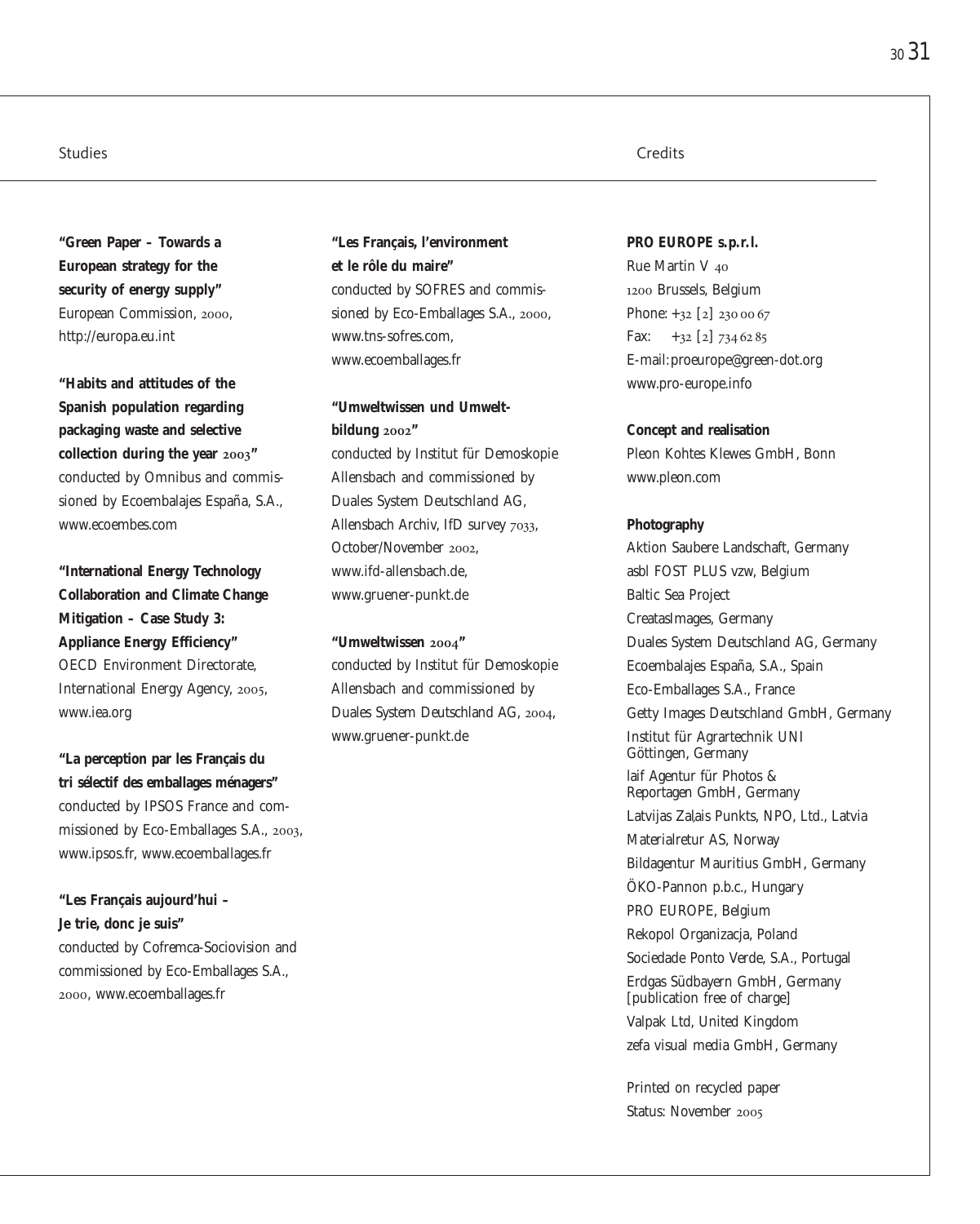**"Green Paper – Towards a European strategy for the security of energy supply"** European Commission, 2000, http://europa.eu.int

**"Habits and attitudes of the Spanish population regarding packaging waste and selective collection during the year 2003"** conducted by Omnibus and commissioned by Ecoembalajes España, S.A., www.ecoembes.com

**"International Energy Technology Collaboration and Climate Change Mitigation – Case Study 3: Appliance Energy Efficiency"** OECD Environment Directorate, International Energy Agency, 2005, www.iea.org

**"La perception par les Français du tri sélectif des emballages ménagers"** conducted by IPSOS France and commissioned by Eco-Emballages S.A., 2003, www.ipsos.fr, www.ecoemballages.fr

**"Les Français aujourd'hui – Je trie, donc je suis"** conducted by Cofremca-Sociovision and commissioned by Eco-Emballages S.A., 2000, www.ecoemballages.fr

**"Les Français, l'environment et le rôle du maire"** conducted by SOFRES and commissioned by Eco-Emballages S.A., 2000, www.tns-sofres.com, www.ecoemballages.fr

**"Umweltwissen und Umweltbildung 2002"** conducted by Institut für Demoskopie Allensbach and commissioned by Duales System Deutschland AG, Allensbach Archiv, IfD survey 7033,

October/November 2002, www.ifd-allensbach.de, www.gruener-punkt.de

**"Umweltwissen 2004"** conducted by Institut für Demoskopie Allensbach and commissioned by Duales System Deutschland AG, 2004, www.gruener-punkt.de

#### Studies **Credits** Credits **Credits** Credits **Credits** Credits **Credits** Credits **Credits**

**PRO EUROPE s.p.r. l.** Rue Martin V 40 1200 Brussels, Belgium Phone: +32 [2] 230 00 67 Fax:  $+32$  [2] 734 62 85 E-mail:proeurope@green-dot.org www.pro-europe.info

#### **Concept and realisation**

Pleon Kohtes Klewes GmbH, Bonn www.pleon.com

#### **Photography**

Aktion Saubere Landschaft, Germany asbl FOST PLUS vzw, Belgium Baltic Sea Project CreatasImages, Germany Duales System Deutschland AG, Germany Ecoembalajes España, S.A., Spain Eco-Emballages S.A., France Getty Images Deutschland GmbH, Germany Institut für Agrartechnik UNI Göttingen, Germany laif Agentur für Photos & Reportagen GmbH, Germany Latvijas Zaļais Punkts, NPO, Ltd., Latvia<br>Materialretur AS, Norway Bildagentur Mauritius GmbH, Germany ÖKO-Pannon p.b.c., Hungary PRO EUROPE, Belgium Rekopol Organizacja, Poland Sociedade Ponto Verde, S.A., Portugal Erdgas Südbayern GmbH, Germany [publication free of charge] Valpak Ltd, United Kingdom zefa visual media GmbH, Germany

Printed on recycled paper Status: November 2005